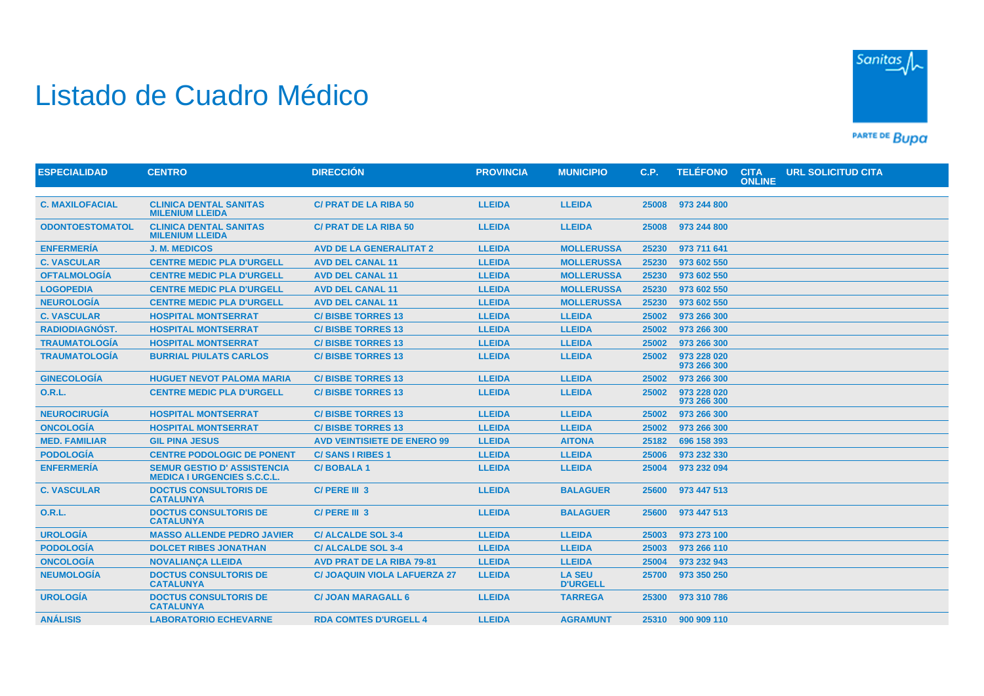## Listado de Cuadro Médico



PARTE DE BUDA

| <b>CLINICA DENTAL SANITAS</b><br><b>LLEIDA</b><br><b>LLEIDA</b><br><b>C. MAXILOFACIAL</b><br><b>C/PRAT DE LA RIBA 50</b><br>25008<br>973 244 800<br><b>MILENIUM LLEIDA</b><br><b>ODONTOESTOMATOL</b><br><b>CLINICA DENTAL SANITAS</b><br><b>C/ PRAT DE LA RIBA 50</b><br><b>LLEIDA</b><br><b>LLEIDA</b><br>25008<br>973 244 800<br><b>MILENIUM LLEIDA</b><br><b>ENFERMERÍA</b><br><b>AVD DE LA GENERALITAT 2</b><br><b>LLEIDA</b><br><b>MOLLERUSSA</b><br>973 711 641<br><b>J. M. MEDICOS</b><br>25230<br><b>LLEIDA</b><br><b>C. VASCULAR</b><br><b>CENTRE MEDIC PLA D'URGELL</b><br><b>AVD DEL CANAL 11</b><br><b>MOLLERUSSA</b><br>973 602 550<br>25230<br><b>OFTALMOLOGÍA</b><br><b>LLEIDA</b><br><b>CENTRE MEDIC PLA D'URGELL</b><br><b>AVD DEL CANAL 11</b><br><b>MOLLERUSSA</b><br>25230<br>973 602 550<br><b>LOGOPEDIA</b><br><b>AVD DEL CANAL 11</b><br><b>LLEIDA</b><br><b>MOLLERUSSA</b><br><b>CENTRE MEDIC PLA D'URGELL</b><br>25230<br>973 602 550<br><b>NEUROLOGÍA</b><br><b>CENTRE MEDIC PLA D'URGELL</b><br><b>LLEIDA</b><br><b>MOLLERUSSA</b><br><b>AVD DEL CANAL 11</b><br>25230<br>973 602 550<br><b>C. VASCULAR</b><br><b>LLEIDA</b><br><b>LLEIDA</b><br><b>HOSPITAL MONTSERRAT</b><br><b>C/BISBE TORRES 13</b><br>25002<br>973 266 300 | <b>ESPECIALIDAD</b>   | <b>CENTRO</b>              | <b>DIRECCIÓN</b>         | <b>PROVINCIA</b> | <b>MUNICIPIO</b> | C.P.  | <b>TELÉFONO</b> | <b>CITA</b><br><b>ONLINE</b> | <b>URL SOLICITUD CITA</b> |  |
|------------------------------------------------------------------------------------------------------------------------------------------------------------------------------------------------------------------------------------------------------------------------------------------------------------------------------------------------------------------------------------------------------------------------------------------------------------------------------------------------------------------------------------------------------------------------------------------------------------------------------------------------------------------------------------------------------------------------------------------------------------------------------------------------------------------------------------------------------------------------------------------------------------------------------------------------------------------------------------------------------------------------------------------------------------------------------------------------------------------------------------------------------------------------------------------------------------------------------------------------------------|-----------------------|----------------------------|--------------------------|------------------|------------------|-------|-----------------|------------------------------|---------------------------|--|
|                                                                                                                                                                                                                                                                                                                                                                                                                                                                                                                                                                                                                                                                                                                                                                                                                                                                                                                                                                                                                                                                                                                                                                                                                                                            |                       |                            |                          |                  |                  |       |                 |                              |                           |  |
|                                                                                                                                                                                                                                                                                                                                                                                                                                                                                                                                                                                                                                                                                                                                                                                                                                                                                                                                                                                                                                                                                                                                                                                                                                                            |                       |                            |                          |                  |                  |       |                 |                              |                           |  |
|                                                                                                                                                                                                                                                                                                                                                                                                                                                                                                                                                                                                                                                                                                                                                                                                                                                                                                                                                                                                                                                                                                                                                                                                                                                            |                       |                            |                          |                  |                  |       |                 |                              |                           |  |
|                                                                                                                                                                                                                                                                                                                                                                                                                                                                                                                                                                                                                                                                                                                                                                                                                                                                                                                                                                                                                                                                                                                                                                                                                                                            |                       |                            |                          |                  |                  |       |                 |                              |                           |  |
|                                                                                                                                                                                                                                                                                                                                                                                                                                                                                                                                                                                                                                                                                                                                                                                                                                                                                                                                                                                                                                                                                                                                                                                                                                                            |                       |                            |                          |                  |                  |       |                 |                              |                           |  |
|                                                                                                                                                                                                                                                                                                                                                                                                                                                                                                                                                                                                                                                                                                                                                                                                                                                                                                                                                                                                                                                                                                                                                                                                                                                            |                       |                            |                          |                  |                  |       |                 |                              |                           |  |
|                                                                                                                                                                                                                                                                                                                                                                                                                                                                                                                                                                                                                                                                                                                                                                                                                                                                                                                                                                                                                                                                                                                                                                                                                                                            |                       |                            |                          |                  |                  |       |                 |                              |                           |  |
|                                                                                                                                                                                                                                                                                                                                                                                                                                                                                                                                                                                                                                                                                                                                                                                                                                                                                                                                                                                                                                                                                                                                                                                                                                                            |                       |                            |                          |                  |                  |       |                 |                              |                           |  |
|                                                                                                                                                                                                                                                                                                                                                                                                                                                                                                                                                                                                                                                                                                                                                                                                                                                                                                                                                                                                                                                                                                                                                                                                                                                            |                       |                            |                          |                  |                  |       |                 |                              |                           |  |
|                                                                                                                                                                                                                                                                                                                                                                                                                                                                                                                                                                                                                                                                                                                                                                                                                                                                                                                                                                                                                                                                                                                                                                                                                                                            | <b>RADIODIAGNÓST.</b> | <b>HOSPITAL MONTSERRAT</b> | <b>C/BISBE TORRES 13</b> | <b>LLEIDA</b>    | <b>LLEIDA</b>    | 25002 | 973 266 300     |                              |                           |  |
| <b>TRAUMATOLOGÍA</b><br><b>LLEIDA</b><br><b>LLEIDA</b><br><b>HOSPITAL MONTSERRAT</b><br><b>C/BISBE TORRES 13</b><br>25002<br>973 266 300                                                                                                                                                                                                                                                                                                                                                                                                                                                                                                                                                                                                                                                                                                                                                                                                                                                                                                                                                                                                                                                                                                                   |                       |                            |                          |                  |                  |       |                 |                              |                           |  |
| <b>TRAUMATOLOGIA</b><br><b>LLEIDA</b><br><b>BURRIAL PIULATS CARLOS</b><br><b>C/BISBE TORRES 13</b><br><b>LLEIDA</b><br>25002<br>973 228 020<br>973 266 300                                                                                                                                                                                                                                                                                                                                                                                                                                                                                                                                                                                                                                                                                                                                                                                                                                                                                                                                                                                                                                                                                                 |                       |                            |                          |                  |                  |       |                 |                              |                           |  |
| <b>GINECOLOGÍA</b><br><b>LLEIDA</b><br><b>LLEIDA</b><br><b>HUGUET NEVOT PALOMA MARIA</b><br><b>C/BISBE TORRES 13</b><br>25002<br>973 266 300                                                                                                                                                                                                                                                                                                                                                                                                                                                                                                                                                                                                                                                                                                                                                                                                                                                                                                                                                                                                                                                                                                               |                       |                            |                          |                  |                  |       |                 |                              |                           |  |
| <b>O.R.L.</b><br><b>LLEIDA</b><br>973 228 020<br><b>CENTRE MEDIC PLA D'URGELL</b><br><b>C/BISBE TORRES 13</b><br><b>LLEIDA</b><br>25002<br>973 266 300                                                                                                                                                                                                                                                                                                                                                                                                                                                                                                                                                                                                                                                                                                                                                                                                                                                                                                                                                                                                                                                                                                     |                       |                            |                          |                  |                  |       |                 |                              |                           |  |
| <b>NEUROCIRUGÍA</b><br><b>HOSPITAL MONTSERRAT</b><br><b>LLEIDA</b><br><b>LLEIDA</b><br><b>C/BISBE TORRES 13</b><br>25002<br>973 266 300                                                                                                                                                                                                                                                                                                                                                                                                                                                                                                                                                                                                                                                                                                                                                                                                                                                                                                                                                                                                                                                                                                                    |                       |                            |                          |                  |                  |       |                 |                              |                           |  |
| <b>ONCOLOGÍA</b><br><b>LLEIDA</b><br><b>LLEIDA</b><br><b>HOSPITAL MONTSERRAT</b><br><b>C/BISBE TORRES 13</b><br>25002<br>973 266 300                                                                                                                                                                                                                                                                                                                                                                                                                                                                                                                                                                                                                                                                                                                                                                                                                                                                                                                                                                                                                                                                                                                       |                       |                            |                          |                  |                  |       |                 |                              |                           |  |
| <b>MED. FAMILIAR</b><br><b>GIL PINA JESUS</b><br><b>AVD VEINTISIETE DE ENERO 99</b><br><b>LLEIDA</b><br><b>AITONA</b><br>25182<br>696 158 393                                                                                                                                                                                                                                                                                                                                                                                                                                                                                                                                                                                                                                                                                                                                                                                                                                                                                                                                                                                                                                                                                                              |                       |                            |                          |                  |                  |       |                 |                              |                           |  |
| <b>PODOLOGÍA</b><br><b>CENTRE PODOLOGIC DE PONENT</b><br><b>LLEIDA</b><br><b>LLEIDA</b><br><b>C/SANS I RIBES 1</b><br>25006<br>973 232 330                                                                                                                                                                                                                                                                                                                                                                                                                                                                                                                                                                                                                                                                                                                                                                                                                                                                                                                                                                                                                                                                                                                 |                       |                            |                          |                  |                  |       |                 |                              |                           |  |
| <b>ENFERMERÍA</b><br><b>SEMUR GESTIO D' ASSISTENCIA</b><br><b>C/BOBALA1</b><br><b>LLEIDA</b><br><b>LLEIDA</b><br>25004<br>973 232 094<br><b>MEDICA I URGENCIES S.C.C.L.</b>                                                                                                                                                                                                                                                                                                                                                                                                                                                                                                                                                                                                                                                                                                                                                                                                                                                                                                                                                                                                                                                                                |                       |                            |                          |                  |                  |       |                 |                              |                           |  |
| <b>LLEIDA</b><br><b>C. VASCULAR</b><br><b>DOCTUS CONSULTORIS DE</b><br>C/PERE III 3<br>25600<br><b>BALAGUER</b><br>973 447 513<br><b>CATALUNYA</b>                                                                                                                                                                                                                                                                                                                                                                                                                                                                                                                                                                                                                                                                                                                                                                                                                                                                                                                                                                                                                                                                                                         |                       |                            |                          |                  |                  |       |                 |                              |                           |  |
| <b>O.R.L.</b><br><b>DOCTUS CONSULTORIS DE</b><br>C/PERE III 3<br><b>LLEIDA</b><br>25600<br><b>BALAGUER</b><br>973 447 513<br><b>CATALUNYA</b>                                                                                                                                                                                                                                                                                                                                                                                                                                                                                                                                                                                                                                                                                                                                                                                                                                                                                                                                                                                                                                                                                                              |                       |                            |                          |                  |                  |       |                 |                              |                           |  |
| <b>UROLOGÍA</b><br><b>MASSO ALLENDE PEDRO JAVIER</b><br><b>C/ALCALDE SOL 3-4</b><br><b>LLEIDA</b><br><b>LLEIDA</b><br>973 273 100<br>25003                                                                                                                                                                                                                                                                                                                                                                                                                                                                                                                                                                                                                                                                                                                                                                                                                                                                                                                                                                                                                                                                                                                 |                       |                            |                          |                  |                  |       |                 |                              |                           |  |
| <b>PODOLOGÍA</b><br><b>LLEIDA</b><br><b>LLEIDA</b><br>973 266 110<br><b>DOLCET RIBES JONATHAN</b><br><b>C/ALCALDE SOL 3-4</b><br>25003                                                                                                                                                                                                                                                                                                                                                                                                                                                                                                                                                                                                                                                                                                                                                                                                                                                                                                                                                                                                                                                                                                                     |                       |                            |                          |                  |                  |       |                 |                              |                           |  |
| <b>ONCOLOGÍA</b><br><b>LLEIDA</b><br><b>LLEIDA</b><br><b>NOVALIANCA LLEIDA</b><br><b>AVD PRAT DE LA RIBA 79-81</b><br>25004<br>973 232 943                                                                                                                                                                                                                                                                                                                                                                                                                                                                                                                                                                                                                                                                                                                                                                                                                                                                                                                                                                                                                                                                                                                 |                       |                            |                          |                  |                  |       |                 |                              |                           |  |
| <b>NEUMOLOGÍA</b><br><b>DOCTUS CONSULTORIS DE</b><br><b>C/ JOAQUIN VIOLA LAFUERZA 27</b><br><b>LLEIDA</b><br><b>LA SEU</b><br>973 350 250<br>25700<br><b>CATALUNYA</b><br><b>D'URGELL</b>                                                                                                                                                                                                                                                                                                                                                                                                                                                                                                                                                                                                                                                                                                                                                                                                                                                                                                                                                                                                                                                                  |                       |                            |                          |                  |                  |       |                 |                              |                           |  |
| <b>UROLOGÍA</b><br><b>DOCTUS CONSULTORIS DE</b><br><b>LLEIDA</b><br><b>C/ JOAN MARAGALL 6</b><br><b>TARREGA</b><br>25300<br>973 310 786<br><b>CATALUNYA</b>                                                                                                                                                                                                                                                                                                                                                                                                                                                                                                                                                                                                                                                                                                                                                                                                                                                                                                                                                                                                                                                                                                |                       |                            |                          |                  |                  |       |                 |                              |                           |  |
| <b>ANÁLISIS</b><br><b>LABORATORIO ECHEVARNE</b><br><b>RDA COMTES D'URGELL 4</b><br><b>LLEIDA</b><br><b>AGRAMUNT</b><br>25310 900 909 110                                                                                                                                                                                                                                                                                                                                                                                                                                                                                                                                                                                                                                                                                                                                                                                                                                                                                                                                                                                                                                                                                                                   |                       |                            |                          |                  |                  |       |                 |                              |                           |  |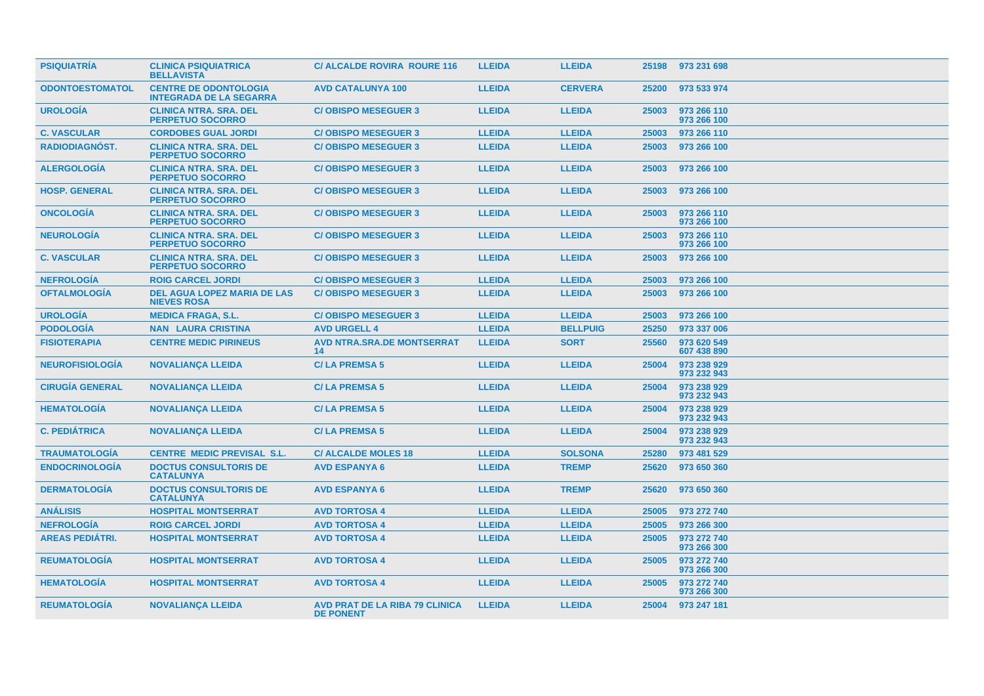| <b>PSIQUIATRIA</b>     | <b>CLINICA PSIQUIATRICA</b><br><b>BELLAVISTA</b>               | <b>C/ ALCALDE ROVIRA ROURE 116</b>                        | <b>LLEIDA</b> | <b>LLEIDA</b>   | 25198 | 973 231 698                |
|------------------------|----------------------------------------------------------------|-----------------------------------------------------------|---------------|-----------------|-------|----------------------------|
| <b>ODONTOESTOMATOL</b> | <b>CENTRE DE ODONTOLOGIA</b><br><b>INTEGRADA DE LA SEGARRA</b> | <b>AVD CATALUNYA 100</b>                                  | <b>LLEIDA</b> | <b>CERVERA</b>  | 25200 | 973 533 974                |
| <b>UROLOGIA</b>        | <b>CLINICA NTRA. SRA. DEL</b><br><b>PERPETUO SOCORRO</b>       | <b>C/OBISPO MESEGUER 3</b>                                | <b>LLEIDA</b> | <b>LLEIDA</b>   | 25003 | 973 266 110<br>973 266 100 |
| <b>C. VASCULAR</b>     | <b>CORDOBES GUAL JORDI</b>                                     | <b>C/OBISPO MESEGUER 3</b>                                | <b>LLEIDA</b> | <b>LLEIDA</b>   | 25003 | 973 266 110                |
| <b>RADIODIAGNOST.</b>  | <b>CLINICA NTRA, SRA, DEL</b><br><b>PERPETUO SOCORRO</b>       | <b>C/OBISPO MESEGUER 3</b>                                | <b>LLEIDA</b> | <b>LLEIDA</b>   | 25003 | 973 266 100                |
| <b>ALERGOLOGÍA</b>     | <b>CLINICA NTRA. SRA. DEL</b><br><b>PERPETUO SOCORRO</b>       | <b>C/OBISPO MESEGUER 3</b>                                | <b>LLEIDA</b> | <b>LLEIDA</b>   | 25003 | 973 266 100                |
| <b>HOSP. GENERAL</b>   | <b>CLINICA NTRA, SRA, DEL</b><br><b>PERPETUO SOCORRO</b>       | <b>C/OBISPO MESEGUER 3</b>                                | <b>LLEIDA</b> | <b>LLEIDA</b>   | 25003 | 973 266 100                |
| <b>ONCOLOGÍA</b>       | <b>CLINICA NTRA, SRA, DEL</b><br><b>PERPETUO SOCORRO</b>       | <b>C/OBISPO MESEGUER 3</b>                                | <b>LLEIDA</b> | <b>LLEIDA</b>   | 25003 | 973 266 110<br>973 266 100 |
| <b>NEUROLOGÍA</b>      | <b>CLINICA NTRA, SRA, DEL</b><br><b>PERPETUO SOCORRO</b>       | <b>C/OBISPO MESEGUER 3</b>                                | <b>LLEIDA</b> | <b>LLEIDA</b>   | 25003 | 973 266 110<br>973 266 100 |
| <b>C. VASCULAR</b>     | <b>CLINICA NTRA. SRA. DEL</b><br><b>PERPETUO SOCORRO</b>       | <b>C/OBISPO MESEGUER 3</b>                                | <b>LLEIDA</b> | <b>LLEIDA</b>   | 25003 | 973 266 100                |
| <b>NEFROLOGIA</b>      | <b>ROIG CARCEL JORDI</b>                                       | <b>C/OBISPO MESEGUER 3</b>                                | <b>LLEIDA</b> | <b>LLEIDA</b>   | 25003 | 973 266 100                |
| <b>OFTALMOLOGIA</b>    | <b>DEL AGUA LOPEZ MARIA DE LAS</b><br><b>NIEVES ROSA</b>       | <b>C/OBISPO MESEGUER 3</b>                                | <b>LLEIDA</b> | <b>LLEIDA</b>   | 25003 | 973 266 100                |
| <b>UROLOGÍA</b>        | <b>MEDICA FRAGA, S.L.</b>                                      | <b>C/OBISPO MESEGUER 3</b>                                | <b>LLEIDA</b> | <b>LLEIDA</b>   | 25003 | 973 266 100                |
| <b>PODOLOGÍA</b>       | <b>NAN LAURA CRISTINA</b>                                      | <b>AVD URGELL 4</b>                                       | <b>LLEIDA</b> | <b>BELLPUIG</b> | 25250 | 973 337 006                |
| <b>FISIOTERAPIA</b>    | <b>CENTRE MEDIC PIRINEUS</b>                                   | <b>AVD NTRA.SRA.DE MONTSERRAT</b><br>14                   | <b>LLEIDA</b> | <b>SORT</b>     | 25560 | 973 620 549<br>607 438 890 |
| <b>NEUROFISIOLOGÍA</b> | <b>NOVALIANÇA LLEIDA</b>                                       | <b>C/LA PREMSA 5</b>                                      | <b>LLEIDA</b> | <b>LLEIDA</b>   | 25004 | 973 238 929<br>973 232 943 |
| <b>CIRUGÍA GENERAL</b> | <b>NOVALIANCA LLEIDA</b>                                       | <b>C/LA PREMSA 5</b>                                      | <b>LLEIDA</b> | <b>LLEIDA</b>   | 25004 | 973 238 929<br>973 232 943 |
| <b>HEMATOLOGÍA</b>     | <b>NOVALIANÇA LLEIDA</b>                                       | <b>C/LA PREMSA 5</b>                                      | <b>LLEIDA</b> | <b>LLEIDA</b>   | 25004 | 973 238 929<br>973 232 943 |
| <b>C. PEDIÁTRICA</b>   | <b>NOVALIANÇA LLEIDA</b>                                       | <b>C/LA PREMSA 5</b>                                      | <b>LLEIDA</b> | <b>LLEIDA</b>   | 25004 | 973 238 929<br>973 232 943 |
| <b>TRAUMATOLOGIA</b>   | <b>CENTRE MEDIC PREVISAL S.L.</b>                              | <b>C/ALCALDE MOLES 18</b>                                 | <b>LLEIDA</b> | <b>SOLSONA</b>  | 25280 | 973 481 529                |
| <b>ENDOCRINOLOGIA</b>  | <b>DOCTUS CONSULTORIS DE</b><br><b>CATALUNYA</b>               | <b>AVD ESPANYA 6</b>                                      | <b>LLEIDA</b> | <b>TREMP</b>    | 25620 | 973 650 360                |
| <b>DERMATOLOGÍA</b>    | <b>DOCTUS CONSULTORIS DE</b><br><b>CATALUNYA</b>               | <b>AVD ESPANYA 6</b>                                      | <b>LLEIDA</b> | <b>TREMP</b>    | 25620 | 973 650 360                |
| <b>ANÁLISIS</b>        | <b>HOSPITAL MONTSERRAT</b>                                     | <b>AVD TORTOSA 4</b>                                      | <b>LLEIDA</b> | <b>LLEIDA</b>   | 25005 | 973 272 740                |
| <b>NEFROLOGÍA</b>      | <b>ROIG CARCEL JORDI</b>                                       | <b>AVD TORTOSA 4</b>                                      | <b>LLEIDA</b> | <b>LLEIDA</b>   | 25005 | 973 266 300                |
| <b>AREAS PEDIÁTRI.</b> | <b>HOSPITAL MONTSERRAT</b>                                     | <b>AVD TORTOSA 4</b>                                      | <b>LLEIDA</b> | <b>LLEIDA</b>   | 25005 | 973 272 740<br>973 266 300 |
| <b>REUMATOLOGIA</b>    | <b>HOSPITAL MONTSERRAT</b>                                     | <b>AVD TORTOSA 4</b>                                      | <b>LLEIDA</b> | <b>LLEIDA</b>   | 25005 | 973 272 740<br>973 266 300 |
| <b>HEMATOLOGIA</b>     | <b>HOSPITAL MONTSERRAT</b>                                     | <b>AVD TORTOSA 4</b>                                      | <b>LLEIDA</b> | <b>LLEIDA</b>   | 25005 | 973 272 740<br>973 266 300 |
| <b>REUMATOLOGIA</b>    | <b>NOVALIANÇA LLEIDA</b>                                       | <b>AVD PRAT DE LA RIBA 79 CLINICA</b><br><b>DE PONENT</b> | <b>LLEIDA</b> | <b>LLEIDA</b>   | 25004 | 973 247 181                |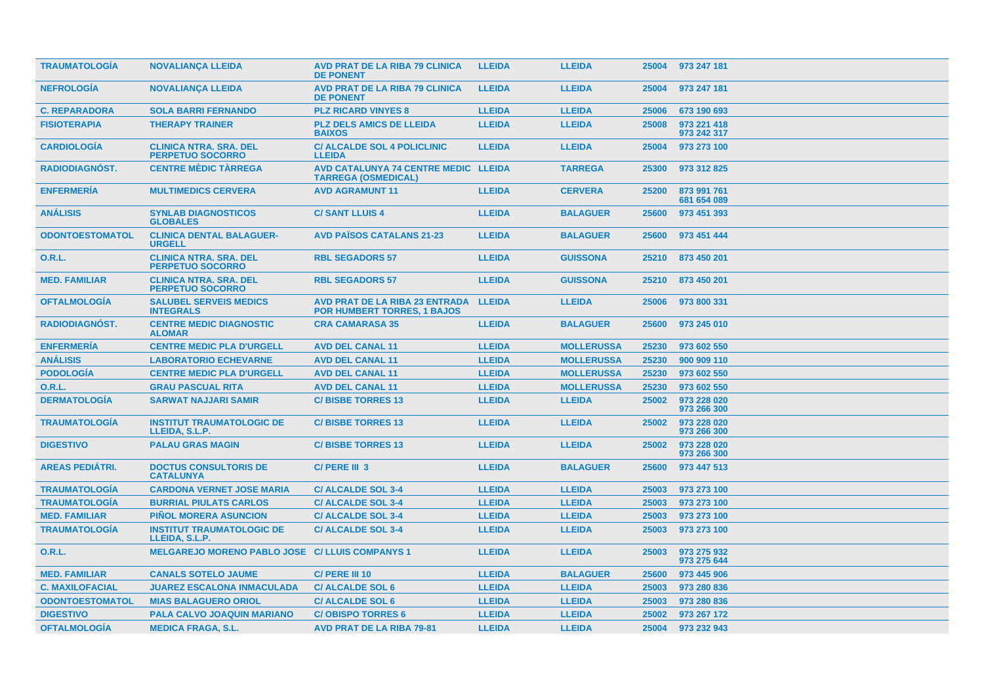| <b>TRAUMATOLOGIA</b>   | <b>NOVALIANÇA LLEIDA</b>                                 | <b>AVD PRAT DE LA RIBA 79 CLINICA</b><br><b>DE PONENT</b>                   | <b>LLEIDA</b> | <b>LLEIDA</b>     | 25004 | 973 247 181                |
|------------------------|----------------------------------------------------------|-----------------------------------------------------------------------------|---------------|-------------------|-------|----------------------------|
| <b>NEFROLOGIA</b>      | <b>NOVALIANCA LLEIDA</b>                                 | <b>AVD PRAT DE LA RIBA 79 CLINICA</b><br><b>DE PONENT</b>                   | <b>LLEIDA</b> | <b>LLEIDA</b>     | 25004 | 973 247 181                |
| <b>C. REPARADORA</b>   | <b>SOLA BARRI FERNANDO</b>                               | <b>PLZ RICARD VINYES 8</b>                                                  | <b>LLEIDA</b> | <b>LLEIDA</b>     | 25006 | 673 190 693                |
| <b>FISIOTERAPIA</b>    | <b>THERAPY TRAINER</b>                                   | <b>PLZ DELS AMICS DE LLEIDA</b><br><b>BAIXOS</b>                            | <b>LLEIDA</b> | <b>LLEIDA</b>     | 25008 | 973 221 418<br>973 242 317 |
| <b>CARDIOLOGÍA</b>     | <b>CLINICA NTRA. SRA. DEL</b><br><b>PERPETUO SOCORRO</b> | <b>C/ ALCALDE SOL 4 POLICLINIC</b><br><b>LLEIDA</b>                         | <b>LLEIDA</b> | <b>LLEIDA</b>     | 25004 | 973 273 100                |
| <b>RADIODIAGNOST.</b>  | <b>CENTRE MÈDIC TÀRREGA</b>                              | AVD CATALUNYA 74 CENTRE MEDIC LLEIDA<br><b>TARREGA (OSMEDICAL)</b>          |               | <b>TARREGA</b>    | 25300 | 973 312 825                |
| <b>ENFERMERÍA</b>      | <b>MULTIMEDICS CERVERA</b>                               | <b>AVD AGRAMUNT 11</b>                                                      | <b>LLEIDA</b> | <b>CERVERA</b>    | 25200 | 873 991 761<br>681 654 089 |
| <b>ANALISIS</b>        | <b>SYNLAB DIAGNOSTICOS</b><br><b>GLOBALES</b>            | <b>C/SANT LLUIS 4</b>                                                       | <b>LLEIDA</b> | <b>BALAGUER</b>   | 25600 | 973 451 393                |
| <b>ODONTOESTOMATOL</b> | <b>CLINICA DENTAL BALAGUER-</b><br><b>URGELL</b>         | <b>AVD PAÏSOS CATALANS 21-23</b>                                            | <b>LLEIDA</b> | <b>BALAGUER</b>   | 25600 | 973 451 444                |
| <b>O.R.L.</b>          | <b>CLINICA NTRA. SRA. DEL</b><br><b>PERPETUO SOCORRO</b> | <b>RBL SEGADORS 57</b>                                                      | <b>LLEIDA</b> | <b>GUISSONA</b>   | 25210 | 873 450 201                |
| <b>MED. FAMILIAR</b>   | <b>CLINICA NTRA. SRA. DEL</b><br><b>PERPETUO SOCORRO</b> | <b>RBL SEGADORS 57</b>                                                      | <b>LLEIDA</b> | <b>GUISSONA</b>   | 25210 | 873 450 201                |
| <b>OFTALMOLOGIA</b>    | <b>SALUBEL SERVEIS MEDICS</b><br><b>INTEGRALS</b>        | <b>AVD PRAT DE LA RIBA 23 ENTRADA</b><br><b>POR HUMBERT TORRES, 1 BAJOS</b> | <b>LLEIDA</b> | <b>LLEIDA</b>     | 25006 | 973 800 331                |
| RADIODIAGNÓST.         | <b>CENTRE MEDIC DIAGNOSTIC</b><br><b>ALOMAR</b>          | <b>CRA CAMARASA 35</b>                                                      | <b>LLEIDA</b> | <b>BALAGUER</b>   | 25600 | 973 245 010                |
| <b>ENFERMERÍA</b>      | <b>CENTRE MEDIC PLA D'URGELL</b>                         | <b>AVD DEL CANAL 11</b>                                                     | <b>LLEIDA</b> | <b>MOLLERUSSA</b> | 25230 | 973 602 550                |
| <b>ANÁLISIS</b>        | <b>LABORATORIO ECHEVARNE</b>                             | <b>AVD DEL CANAL 11</b>                                                     | <b>LLEIDA</b> | <b>MOLLERUSSA</b> | 25230 | 900 909 110                |
| <b>PODOLOGÍA</b>       | <b>CENTRE MEDIC PLA D'URGELL</b>                         | <b>AVD DEL CANAL 11</b>                                                     | <b>LLEIDA</b> | <b>MOLLERUSSA</b> | 25230 | 973 602 550                |
| 0.R.L.                 | <b>GRAU PASCUAL RITA</b>                                 | <b>AVD DEL CANAL 11</b>                                                     | <b>LLEIDA</b> | <b>MOLLERUSSA</b> | 25230 | 973 602 550                |
| <b>DERMATOLOGÍA</b>    | <b>SARWAT NAJJARI SAMIR</b>                              | <b>C/BISBE TORRES 13</b>                                                    | <b>LLEIDA</b> | <b>LLEIDA</b>     | 25002 | 973 228 020<br>973 266 300 |
| <b>TRAUMATOLOGIA</b>   | <b>INSTITUT TRAUMATOLOGIC DE</b><br>LLEIDA, S.L.P.       | <b>C/BISBE TORRES 13</b>                                                    | <b>LLEIDA</b> | <b>LLEIDA</b>     | 25002 | 973 228 020<br>973 266 300 |
| <b>DIGESTIVO</b>       | <b>PALAU GRAS MAGIN</b>                                  | <b>C/BISBE TORRES 13</b>                                                    | <b>LLEIDA</b> | <b>LLEIDA</b>     | 25002 | 973 228 020<br>973 266 300 |
| <b>AREAS PEDIÁTRI.</b> | <b>DOCTUS CONSULTORIS DE</b><br><b>CATALUNYA</b>         | C/ PERE III 3                                                               | <b>LLEIDA</b> | <b>BALAGUER</b>   | 25600 | 973 447 513                |
| <b>TRAUMATOLOGIA</b>   | <b>CARDONA VERNET JOSE MARIA</b>                         | <b>C/ALCALDE SOL 3-4</b>                                                    | <b>LLEIDA</b> | <b>LLEIDA</b>     | 25003 | 973 273 100                |
| <b>TRAUMATOLOGÍA</b>   | <b>BURRIAL PIULATS CARLOS</b>                            | <b>C/ALCALDE SOL 3-4</b>                                                    | <b>LLEIDA</b> | <b>LLEIDA</b>     | 25003 | 973 273 100                |
| <b>MED. FAMILIAR</b>   | <b>PIÑOL MORERA ASUNCION</b>                             | <b>C/ALCALDE SOL 3-4</b>                                                    | <b>LLEIDA</b> | <b>LLEIDA</b>     | 25003 | 973 273 100                |
| <b>TRAUMATOLOGIA</b>   | <b>INSTITUT TRAUMATOLOGIC DE</b><br>LLEIDA, S.L.P.       | <b>C/ALCALDE SOL 3-4</b>                                                    | <b>LLEIDA</b> | <b>LLEIDA</b>     | 25003 | 973 273 100                |
| 0.R.L.                 | MELGAREJO MORENO PABLO JOSE C/ LLUIS COMPANYS 1          |                                                                             | <b>LLEIDA</b> | <b>LLEIDA</b>     | 25003 | 973 275 932<br>973 275 644 |
| <b>MED. FAMILIAR</b>   | <b>CANALS SOTELO JAUME</b>                               | C/ PERE III 10                                                              | <b>LLEIDA</b> | <b>BALAGUER</b>   | 25600 | 973 445 906                |
| <b>C. MAXILOFACIAL</b> | <b>JUAREZ ESCALONA INMACULADA</b>                        | <b>C/ ALCALDE SOL 6</b>                                                     | <b>LLEIDA</b> | <b>LLEIDA</b>     | 25003 | 973 280 836                |
| <b>ODONTOESTOMATOL</b> | <b>MIAS BALAGUERO ORIOL</b>                              | <b>C/ALCALDE SOL 6</b>                                                      | <b>LLEIDA</b> | <b>LLEIDA</b>     | 25003 | 973 280 836                |
| <b>DIGESTIVO</b>       | <b>PALA CALVO JOAQUIN MARIANO</b>                        | <b>C/OBISPO TORRES 6</b>                                                    | <b>LLEIDA</b> | <b>LLEIDA</b>     | 25002 | 973 267 172                |
| <b>OFTALMOLOGIA</b>    | <b>MEDICA FRAGA, S.L.</b>                                | <b>AVD PRAT DE LA RIBA 79-81</b>                                            | <b>LLEIDA</b> | <b>LLEIDA</b>     | 25004 | 973 232 943                |
|                        |                                                          |                                                                             |               |                   |       |                            |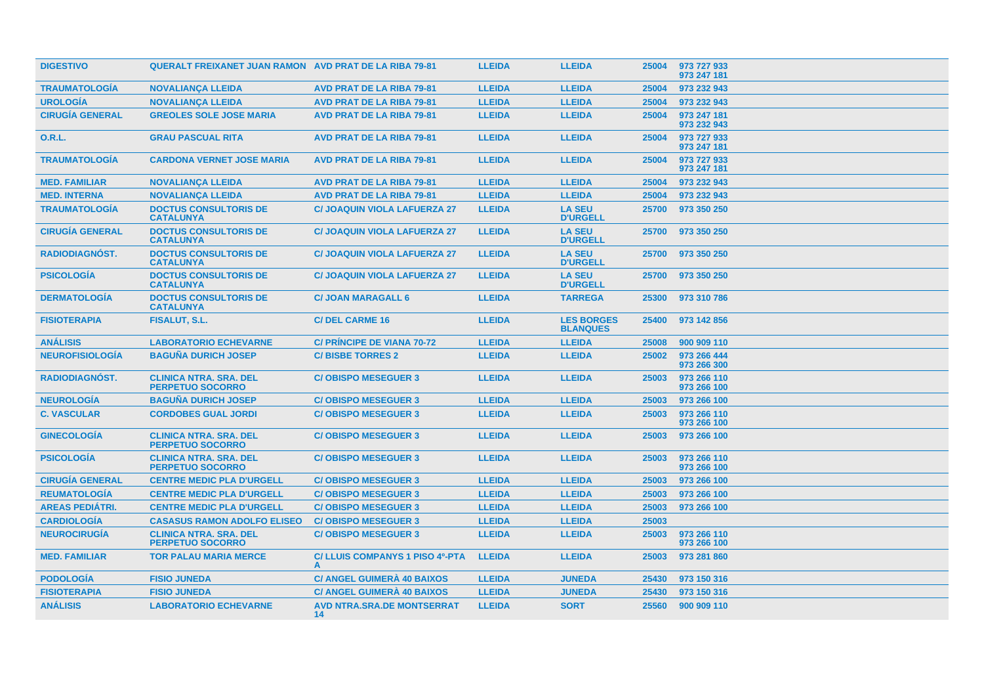| <b>DIGESTIVO</b>       | <b>QUERALT FREIXANET JUAN RAMON AVD PRAT DE LA RIBA 79-81</b> |                                         | <b>LLEIDA</b> | <b>LLEIDA</b>                        | 25004 | 973 727 933<br>973 247 181 |
|------------------------|---------------------------------------------------------------|-----------------------------------------|---------------|--------------------------------------|-------|----------------------------|
| <b>TRAUMATOLOGIA</b>   | <b>NOVALIANÇA LLEIDA</b>                                      | <b>AVD PRAT DE LA RIBA 79-81</b>        | <b>LLEIDA</b> | <b>LLEIDA</b>                        | 25004 | 973 232 943                |
| <b>UROLOGIA</b>        | <b>NOVALIANÇA LLEIDA</b>                                      | <b>AVD PRAT DE LA RIBA 79-81</b>        | <b>LLEIDA</b> | <b>LLEIDA</b>                        | 25004 | 973 232 943                |
| <b>CIRUGÍA GENERAL</b> | <b>GREOLES SOLE JOSE MARIA</b>                                | <b>AVD PRAT DE LA RIBA 79-81</b>        | <b>LLEIDA</b> | <b>LLEIDA</b>                        | 25004 | 973 247 181<br>973 232 943 |
| 0.R.L.                 | <b>GRAU PASCUAL RITA</b>                                      | <b>AVD PRAT DE LA RIBA 79-81</b>        | <b>LLEIDA</b> | <b>LLEIDA</b>                        | 25004 | 973 727 933<br>973 247 181 |
| <b>TRAUMATOLOGIA</b>   | <b>CARDONA VERNET JOSE MARIA</b>                              | <b>AVD PRAT DE LA RIBA 79-81</b>        | <b>LLEIDA</b> | <b>LLEIDA</b>                        | 25004 | 973 727 933<br>973 247 181 |
| <b>MED. FAMILIAR</b>   | <b>NOVALIANÇA LLEIDA</b>                                      | <b>AVD PRAT DE LA RIBA 79-81</b>        | <b>LLEIDA</b> | <b>LLEIDA</b>                        | 25004 | 973 232 943                |
| <b>MED. INTERNA</b>    | <b>NOVALIANCA LLEIDA</b>                                      | <b>AVD PRAT DE LA RIBA 79-81</b>        | <b>LLEIDA</b> | <b>LLEIDA</b>                        | 25004 | 973 232 943                |
| <b>TRAUMATOLOGÍA</b>   | <b>DOCTUS CONSULTORIS DE</b><br><b>CATALUNYA</b>              | <b>C/ JOAQUIN VIOLA LAFUERZA 27</b>     | <b>LLEIDA</b> | <b>LA SEU</b><br><b>D'URGELL</b>     | 25700 | 973 350 250                |
| <b>CIRUGÍA GENERAL</b> | <b>DOCTUS CONSULTORIS DE</b><br><b>CATALUNYA</b>              | <b>C/ JOAQUIN VIOLA LAFUERZA 27</b>     | <b>LLEIDA</b> | <b>LA SEU</b><br><b>D'URGELL</b>     | 25700 | 973 350 250                |
| <b>RADIODIAGNÓST.</b>  | <b>DOCTUS CONSULTORIS DE</b><br><b>CATALUNYA</b>              | <b>C/ JOAQUIN VIOLA LAFUERZA 27</b>     | <b>LLEIDA</b> | <b>LA SEU</b><br><b>D'URGELL</b>     | 25700 | 973 350 250                |
| <b>PSICOLOGÍA</b>      | <b>DOCTUS CONSULTORIS DE</b><br><b>CATALUNYA</b>              | <b>C/ JOAQUIN VIOLA LAFUERZA 27</b>     | <b>LLEIDA</b> | <b>LA SEU</b><br><b>D'URGELL</b>     | 25700 | 973 350 250                |
| <b>DERMATOLOGIA</b>    | <b>DOCTUS CONSULTORIS DE</b><br><b>CATALUNYA</b>              | <b>C/ JOAN MARAGALL 6</b>               | <b>LLEIDA</b> | <b>TARREGA</b>                       | 25300 | 973 310 786                |
| <b>FISIOTERAPIA</b>    | FISALUT, S.L.                                                 | <b>C/DEL CARME 16</b>                   | <b>LLEIDA</b> | <b>LES BORGES</b><br><b>BLANQUES</b> | 25400 | 973 142 856                |
| <b>ANALISIS</b>        | <b>LABORATORIO ECHEVARNE</b>                                  | <b>C/ PRINCIPE DE VIANA 70-72</b>       | <b>LLEIDA</b> | <b>LLEIDA</b>                        | 25008 | 900 909 110                |
| <b>NEUROFISIOLOGÍA</b> | <b>BAGUÑA DURICH JOSEP</b>                                    | <b>C/BISBE TORRES 2</b>                 | <b>LLEIDA</b> | <b>LLEIDA</b>                        | 25002 | 973 266 444<br>973 266 300 |
| <b>RADIODIAGNÓST.</b>  | <b>CLINICA NTRA. SRA. DEL</b><br><b>PERPETUO SOCORRO</b>      | <b>C/OBISPO MESEGUER 3</b>              | <b>LLEIDA</b> | <b>LLEIDA</b>                        | 25003 | 973 266 110<br>973 266 100 |
| <b>NEUROLOGÍA</b>      | <b>BAGUÑA DURICH JOSEP</b>                                    | <b>C/OBISPO MESEGUER 3</b>              | <b>LLEIDA</b> | <b>LLEIDA</b>                        | 25003 | 973 266 100                |
| <b>C. VASCULAR</b>     | <b>CORDOBES GUAL JORDI</b>                                    | <b>C/OBISPO MESEGUER 3</b>              | <b>LLEIDA</b> | <b>LLEIDA</b>                        | 25003 | 973 266 110<br>973 266 100 |
| <b>GINECOLOGIA</b>     | <b>CLINICA NTRA. SRA. DEL</b><br><b>PERPETUO SOCORRO</b>      | <b>C/OBISPO MESEGUER 3</b>              | <b>LLEIDA</b> | <b>LLEIDA</b>                        | 25003 | 973 266 100                |
| <b>PSICOLOGÍA</b>      | <b>CLINICA NTRA. SRA. DEL</b><br><b>PERPETUO SOCORRO</b>      | <b>C/OBISPO MESEGUER 3</b>              | <b>LLEIDA</b> | <b>LLEIDA</b>                        | 25003 | 973 266 110<br>973 266 100 |
| <b>CIRUGÍA GENERAL</b> | <b>CENTRE MEDIC PLA D'URGELL</b>                              | <b>C/OBISPO MESEGUER 3</b>              | <b>LLEIDA</b> | <b>LLEIDA</b>                        | 25003 | 973 266 100                |
| <b>REUMATOLOGÍA</b>    | <b>CENTRE MEDIC PLA D'URGELL</b>                              | <b>C/OBISPO MESEGUER 3</b>              | <b>LLEIDA</b> | <b>LLEIDA</b>                        | 25003 | 973 266 100                |
| <b>AREAS PEDIATRI.</b> | <b>CENTRE MEDIC PLA D'URGELL</b>                              | <b>C/OBISPO MESEGUER 3</b>              | <b>LLEIDA</b> | <b>LLEIDA</b>                        | 25003 | 973 266 100                |
| <b>CARDIOLOGÍA</b>     | <b>CASASUS RAMON ADOLFO ELISEO</b>                            | <b>C/OBISPO MESEGUER 3</b>              | <b>LLEIDA</b> | <b>LLEIDA</b>                        | 25003 |                            |
| <b>NEUROCIRUGÍA</b>    | <b>CLINICA NTRA. SRA. DEL</b><br><b>PERPETUO SOCORRO</b>      | <b>C/OBISPO MESEGUER 3</b>              | <b>LLEIDA</b> | <b>LLEIDA</b>                        | 25003 | 973 266 110<br>973 266 100 |
| <b>MED. FAMILIAR</b>   | <b>TOR PALAU MARIA MERCE</b>                                  | C/ LLUIS COMPANYS 1 PISO 4º-PTA<br>A    | <b>LLEIDA</b> | <b>LLEIDA</b>                        | 25003 | 973 281 860                |
| <b>PODOLOGÍA</b>       | <b>FISIO JUNEDA</b>                                           | <b>C/ ANGEL GUIMERA 40 BAIXOS</b>       | <b>LLEIDA</b> | <b>JUNEDA</b>                        | 25430 | 973 150 316                |
| <b>FISIOTERAPIA</b>    | <b>FISIO JUNEDA</b>                                           | <b>C/ ANGEL GUIMERÀ 40 BAIXOS</b>       | <b>LLEIDA</b> | <b>JUNEDA</b>                        | 25430 | 973 150 316                |
| <b>ANÁLISIS</b>        | <b>LABORATORIO ECHEVARNE</b>                                  | <b>AVD NTRA.SRA.DE MONTSERRAT</b><br>14 | <b>LLEIDA</b> | <b>SORT</b>                          | 25560 | 900 909 110                |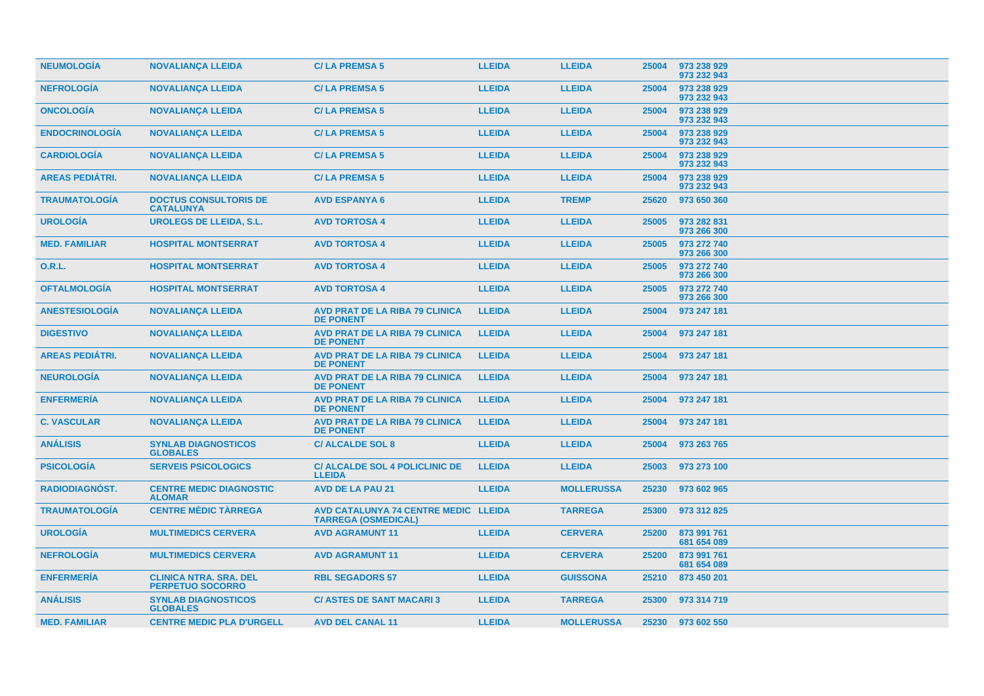| <b>NEUMOLOGIA</b>      | <b>NOVALIANÇA LLEIDA</b>                                 | <b>C/LA PREMSA 5</b>                                               | <b>LLEIDA</b> | <b>LLEIDA</b>     | 25004 | 973 238 929<br>973 232 943 |
|------------------------|----------------------------------------------------------|--------------------------------------------------------------------|---------------|-------------------|-------|----------------------------|
| <b>NEFROLOGÍA</b>      | <b>NOVALIANÇA LLEIDA</b>                                 | <b>C/LA PREMSA 5</b>                                               | <b>LLEIDA</b> | <b>LLEIDA</b>     | 25004 | 973 238 929<br>973 232 943 |
| <b>ONCOLOGIA</b>       | <b>NOVALIANÇA LLEIDA</b>                                 | <b>C/LA PREMSA 5</b>                                               | <b>LLEIDA</b> | <b>LLEIDA</b>     | 25004 | 973 238 929<br>973 232 943 |
| <b>ENDOCRINOLOGIA</b>  | <b>NOVALIANÇA LLEIDA</b>                                 | <b>C/LA PREMSA 5</b>                                               | <b>LLEIDA</b> | <b>LLEIDA</b>     | 25004 | 973 238 929<br>973 232 943 |
| <b>CARDIOLOGIA</b>     | <b>NOVALIANÇA LLEIDA</b>                                 | <b>C/LA PREMSA 5</b>                                               | <b>LLEIDA</b> | <b>LLEIDA</b>     | 25004 | 973 238 929<br>973 232 943 |
| <b>AREAS PEDIÁTRI.</b> | <b>NOVALIANÇA LLEIDA</b>                                 | <b>C/LA PREMSA 5</b>                                               | <b>LLEIDA</b> | <b>LLEIDA</b>     | 25004 | 973 238 929<br>973 232 943 |
| <b>TRAUMATOLOGIA</b>   | <b>DOCTUS CONSULTORIS DE</b><br><b>CATALUNYA</b>         | <b>AVD ESPANYA 6</b>                                               | <b>LLEIDA</b> | <b>TREMP</b>      | 25620 | 973 650 360                |
| <b>UROLOGÍA</b>        | <b>UROLEGS DE LLEIDA, S.L.</b>                           | <b>AVD TORTOSA 4</b>                                               | <b>LLEIDA</b> | <b>LLEIDA</b>     | 25005 | 973 282 831<br>973 266 300 |
| <b>MED. FAMILIAR</b>   | <b>HOSPITAL MONTSERRAT</b>                               | <b>AVD TORTOSA 4</b>                                               | <b>LLEIDA</b> | <b>LLEIDA</b>     | 25005 | 973 272 740<br>973 266 300 |
| <b>O.R.L.</b>          | <b>HOSPITAL MONTSERRAT</b>                               | <b>AVD TORTOSA 4</b>                                               | <b>LLEIDA</b> | <b>LLEIDA</b>     | 25005 | 973 272 740<br>973 266 300 |
| <b>OFTALMOLOGIA</b>    | <b>HOSPITAL MONTSERRAT</b>                               | <b>AVD TORTOSA 4</b>                                               | <b>LLEIDA</b> | <b>LLEIDA</b>     | 25005 | 973 272 740<br>973 266 300 |
| <b>ANESTESIOLOGIA</b>  | <b>NOVALIANÇA LLEIDA</b>                                 | <b>AVD PRAT DE LA RIBA 79 CLINICA</b><br><b>DE PONENT</b>          | <b>LLEIDA</b> | <b>LLEIDA</b>     | 25004 | 973 247 181                |
| <b>DIGESTIVO</b>       | <b>NOVALIANÇA LLEIDA</b>                                 | <b>AVD PRAT DE LA RIBA 79 CLINICA</b><br><b>DE PONENT</b>          | <b>LLEIDA</b> | <b>LLEIDA</b>     | 25004 | 973 247 181                |
| <b>AREAS PEDIATRI.</b> | <b>NOVALIANÇA LLEIDA</b>                                 | <b>AVD PRAT DE LA RIBA 79 CLINICA</b><br><b>DE PONENT</b>          | <b>LLEIDA</b> | <b>LLEIDA</b>     | 25004 | 973 247 181                |
| <b>NEUROLOGIA</b>      | <b>NOVALIANÇA LLEIDA</b>                                 | <b>AVD PRAT DE LA RIBA 79 CLINICA</b><br><b>DE PONENT</b>          | <b>LLEIDA</b> | <b>LLEIDA</b>     | 25004 | 973 247 181                |
| <b>ENFERMERIA</b>      | <b>NOVALIANÇA LLEIDA</b>                                 | <b>AVD PRAT DE LA RIBA 79 CLINICA</b><br><b>DE PONENT</b>          | <b>LLEIDA</b> | <b>LLEIDA</b>     | 25004 | 973 247 181                |
| <b>C. VASCULAR</b>     | <b>NOVALIANÇA LLEIDA</b>                                 | <b>AVD PRAT DE LA RIBA 79 CLINICA</b><br><b>DE PONENT</b>          | <b>LLEIDA</b> | <b>LLEIDA</b>     | 25004 | 973 247 181                |
| <b>ANÁLISIS</b>        | <b>SYNLAB DIAGNOSTICOS</b><br><b>GLOBALES</b>            | <b>C/ ALCALDE SOL 8</b>                                            | <b>LLEIDA</b> | <b>LLEIDA</b>     | 25004 | 973 263 765                |
| <b>PSICOLOGÍA</b>      | <b>SERVEIS PSICOLOGICS</b>                               | <b>C/ ALCALDE SOL 4 POLICLINIC DE</b><br><b>LLEIDA</b>             | <b>LLEIDA</b> | <b>LLEIDA</b>     | 25003 | 973 273 100                |
| RADIODIAGNÓST.         | <b>CENTRE MEDIC DIAGNOSTIC</b><br><b>ALOMAR</b>          | <b>AVD DE LA PAU 21</b>                                            | <b>LLEIDA</b> | <b>MOLLERUSSA</b> | 25230 | 973 602 965                |
| <b>TRAUMATOLOGIA</b>   | <b>CENTRE MÈDIC TÀRREGA</b>                              | AVD CATALUNYA 74 CENTRE MEDIC LLEIDA<br><b>TARREGA (OSMEDICAL)</b> |               | <b>TARREGA</b>    | 25300 | 973 312 825                |
| <b>UROLOGÍA</b>        | <b>MULTIMEDICS CERVERA</b>                               | <b>AVD AGRAMUNT 11</b>                                             | <b>LLEIDA</b> | <b>CERVERA</b>    | 25200 | 873 991 761<br>681 654 089 |
| <b>NEFROLOGÍA</b>      | <b>MULTIMEDICS CERVERA</b>                               | <b>AVD AGRAMUNT 11</b>                                             | <b>LLEIDA</b> | <b>CERVERA</b>    | 25200 | 873 991 761<br>681 654 089 |
| <b>ENFERMERÍA</b>      | <b>CLINICA NTRA. SRA. DEL</b><br><b>PERPETUO SOCORRO</b> | <b>RBL SEGADORS 57</b>                                             | <b>LLEIDA</b> | <b>GUISSONA</b>   | 25210 | 873 450 201                |
| <b>ANÁLISIS</b>        | <b>SYNLAB DIAGNOSTICOS</b><br><b>GLOBALES</b>            | <b>C/ ASTES DE SANT MACARI 3</b>                                   | <b>LLEIDA</b> | <b>TARREGA</b>    | 25300 | 973 314 719                |
| <b>MED. FAMILIAR</b>   | <b>CENTRE MEDIC PLA D'URGELL</b>                         | <b>AVD DEL CANAL 11</b>                                            | <b>LLEIDA</b> | <b>MOLLERUSSA</b> | 25230 | 973 602 550                |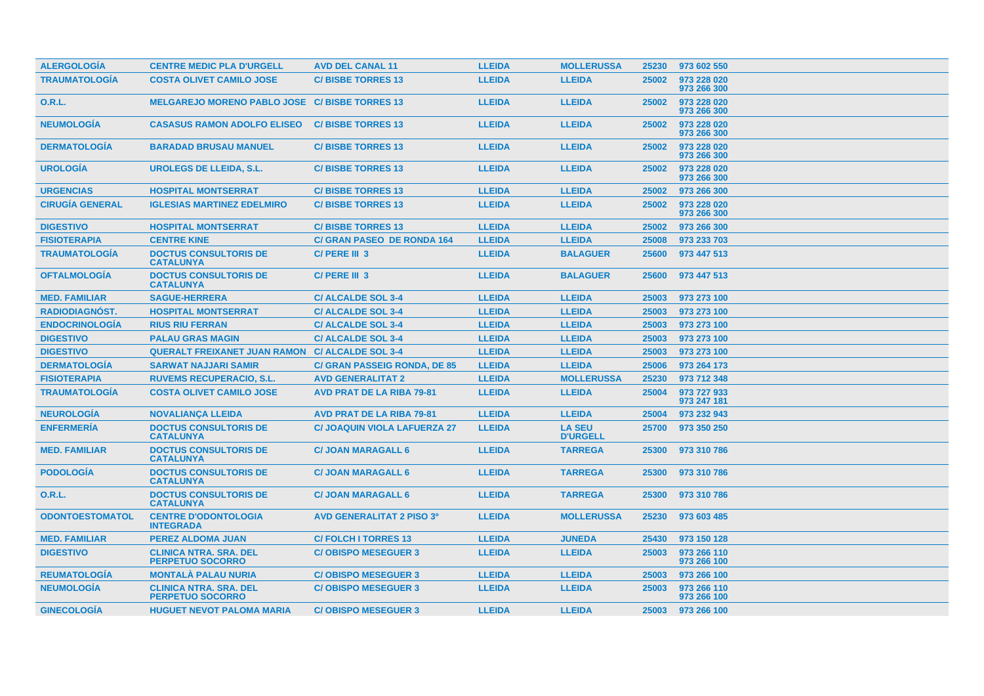| <b>ALERGOLOGÍA</b>     | <b>CENTRE MEDIC PLA D'URGELL</b>                         | <b>AVD DEL CANAL 11</b>             | <b>LLEIDA</b> | <b>MOLLERUSSA</b>                | 25230 | 973 602 550                |
|------------------------|----------------------------------------------------------|-------------------------------------|---------------|----------------------------------|-------|----------------------------|
| <b>TRAUMATOLOGÍA</b>   | <b>COSTA OLIVET CAMILO JOSE</b>                          | <b>C/BISBE TORRES 13</b>            | <b>LLEIDA</b> | <b>LLEIDA</b>                    | 25002 | 973 228 020<br>973 266 300 |
| 0.R.L.                 | MELGAREJO MORENO PABLO JOSE C/ BISBE TORRES 13           |                                     | <b>LLEIDA</b> | <b>LLEIDA</b>                    | 25002 | 973 228 020<br>973 266 300 |
| <b>NEUMOLOGIA</b>      | <b>CASASUS RAMON ADOLFO ELISEO</b>                       | <b>C/BISBE TORRES 13</b>            | <b>LLEIDA</b> | <b>LLEIDA</b>                    | 25002 | 973 228 020<br>973 266 300 |
| <b>DERMATOLOGIA</b>    | <b>BARADAD BRUSAU MANUEL</b>                             | <b>C/BISBE TORRES 13</b>            | <b>LLEIDA</b> | <b>LLEIDA</b>                    | 25002 | 973 228 020<br>973 266 300 |
| <b>UROLOGÍA</b>        | <b>UROLEGS DE LLEIDA, S.L.</b>                           | <b>C/BISBE TORRES 13</b>            | <b>LLEIDA</b> | <b>LLEIDA</b>                    | 25002 | 973 228 020<br>973 266 300 |
| <b>URGENCIAS</b>       | <b>HOSPITAL MONTSERRAT</b>                               | <b>C/BISBE TORRES 13</b>            | <b>LLEIDA</b> | <b>LLEIDA</b>                    | 25002 | 973 266 300                |
| <b>CIRUGÍA GENERAL</b> | <b>IGLESIAS MARTINEZ EDELMIRO</b>                        | <b>C/BISBE TORRES 13</b>            | <b>LLEIDA</b> | <b>LLEIDA</b>                    | 25002 | 973 228 020<br>973 266 300 |
| <b>DIGESTIVO</b>       | <b>HOSPITAL MONTSERRAT</b>                               | <b>C/BISBE TORRES 13</b>            | <b>LLEIDA</b> | <b>LLEIDA</b>                    | 25002 | 973 266 300                |
| <b>FISIOTERAPIA</b>    | <b>CENTRE KINE</b>                                       | <b>C/ GRAN PASEO DE RONDA 164</b>   | <b>LLEIDA</b> | <b>LLEIDA</b>                    | 25008 | 973 233 703                |
| <b>TRAUMATOLOGIA</b>   | <b>DOCTUS CONSULTORIS DE</b><br><b>CATALUNYA</b>         | C/ PERE III 3                       | <b>LLEIDA</b> | <b>BALAGUER</b>                  | 25600 | 973 447 513                |
| <b>OFTALMOLOGIA</b>    | <b>DOCTUS CONSULTORIS DE</b><br><b>CATALUNYA</b>         | C/PERE III 3                        | <b>LLEIDA</b> | <b>BALAGUER</b>                  | 25600 | 973 447 513                |
| <b>MED. FAMILIAR</b>   | <b>SAGUE-HERRERA</b>                                     | <b>C/ALCALDE SOL 3-4</b>            | <b>LLEIDA</b> | <b>LLEIDA</b>                    | 25003 | 973 273 100                |
| <b>RADIODIAGNÓST.</b>  | <b>HOSPITAL MONTSERRAT</b>                               | <b>C/ALCALDE SOL 3-4</b>            | <b>LLEIDA</b> | <b>LLEIDA</b>                    | 25003 | 973 273 100                |
| <b>ENDOCRINOLOGÍA</b>  | <b>RIUS RIU FERRAN</b>                                   | <b>C/ALCALDE SOL 3-4</b>            | <b>LLEIDA</b> | <b>LLEIDA</b>                    | 25003 | 973 273 100                |
| <b>DIGESTIVO</b>       | <b>PALAU GRAS MAGIN</b>                                  | <b>C/ALCALDE SOL 3-4</b>            | <b>LLEIDA</b> | <b>LLEIDA</b>                    | 25003 | 973 273 100                |
| <b>DIGESTIVO</b>       | <b>QUERALT FREIXANET JUAN RAMON C/ ALCALDE SOL 3-4</b>   |                                     | <b>LLEIDA</b> | <b>LLEIDA</b>                    | 25003 | 973 273 100                |
| <b>DERMATOLOGIA</b>    | <b>SARWAT NAJJARI SAMIR</b>                              | <b>C/ GRAN PASSEIG RONDA, DE 85</b> | <b>LLEIDA</b> | <b>LLEIDA</b>                    | 25006 | 973 264 173                |
| <b>FISIOTERAPIA</b>    | <b>RUVEMS RECUPERACIO, S.L.</b>                          | <b>AVD GENERALITAT 2</b>            | <b>LLEIDA</b> | <b>MOLLERUSSA</b>                | 25230 | 973 712 348                |
| <b>TRAUMATOLOGIA</b>   | <b>COSTA OLIVET CAMILO JOSE</b>                          | <b>AVD PRAT DE LA RIBA 79-81</b>    | <b>LLEIDA</b> | <b>LLEIDA</b>                    | 25004 | 973 727 933<br>973 247 181 |
| <b>NEUROLOGÍA</b>      | <b>NOVALIANCA LLEIDA</b>                                 | <b>AVD PRAT DE LA RIBA 79-81</b>    | <b>LLEIDA</b> | <b>LLEIDA</b>                    | 25004 | 973 232 943                |
| <b>ENFERMERÍA</b>      | <b>DOCTUS CONSULTORIS DE</b><br><b>CATALUNYA</b>         | <b>C/ JOAQUIN VIOLA LAFUERZA 27</b> | <b>LLEIDA</b> | <b>LA SEU</b><br><b>D'URGELL</b> | 25700 | 973 350 250                |
| <b>MED. FAMILIAR</b>   | <b>DOCTUS CONSULTORIS DE</b><br><b>CATALUNYA</b>         | <b>C/ JOAN MARAGALL 6</b>           | <b>LLEIDA</b> | <b>TARREGA</b>                   | 25300 | 973 310 786                |
| <b>PODOLOGÍA</b>       | <b>DOCTUS CONSULTORIS DE</b><br><b>CATALUNYA</b>         | <b>C/ JOAN MARAGALL 6</b>           | <b>LLEIDA</b> | <b>TARREGA</b>                   | 25300 | 973 310 786                |
| 0.R.L.                 | <b>DOCTUS CONSULTORIS DE</b><br><b>CATALUNYA</b>         | <b>C/ JOAN MARAGALL 6</b>           | <b>LLEIDA</b> | <b>TARREGA</b>                   | 25300 | 973 310 786                |
| <b>ODONTOESTOMATOL</b> | <b>CENTRE D'ODONTOLOGIA</b><br><b>INTEGRADA</b>          | <b>AVD GENERALITAT 2 PISO 3º</b>    | <b>LLEIDA</b> | <b>MOLLERUSSA</b>                | 25230 | 973 603 485                |
| <b>MED. FAMILIAR</b>   | <b>PEREZ ALDOMA JUAN</b>                                 | <b>C/FOLCH I TORRES 13</b>          | <b>LLEIDA</b> | <b>JUNEDA</b>                    | 25430 | 973 150 128                |
| <b>DIGESTIVO</b>       | <b>CLINICA NTRA, SRA, DEL</b><br><b>PERPETUO SOCORRO</b> | <b>C/OBISPO MESEGUER 3</b>          | <b>LLEIDA</b> | <b>LLEIDA</b>                    | 25003 | 973 266 110<br>973 266 100 |
| <b>REUMATOLOGÍA</b>    | <b>MONTALÀ PALAU NURIA</b>                               | <b>C/OBISPO MESEGUER 3</b>          | <b>LLEIDA</b> | <b>LLEIDA</b>                    | 25003 | 973 266 100                |
| <b>NEUMOLOGÍA</b>      | <b>CLINICA NTRA, SRA, DEL</b><br><b>PERPETUO SOCORRO</b> | <b>C/OBISPO MESEGUER 3</b>          | <b>LLEIDA</b> | <b>LLEIDA</b>                    | 25003 | 973 266 110<br>973 266 100 |
| <b>GINECOLOGIA</b>     | <b>HUGUET NEVOT PALOMA MARIA</b>                         | <b>C/OBISPO MESEGUER 3</b>          | <b>LLEIDA</b> | <b>LLEIDA</b>                    | 25003 | 973 266 100                |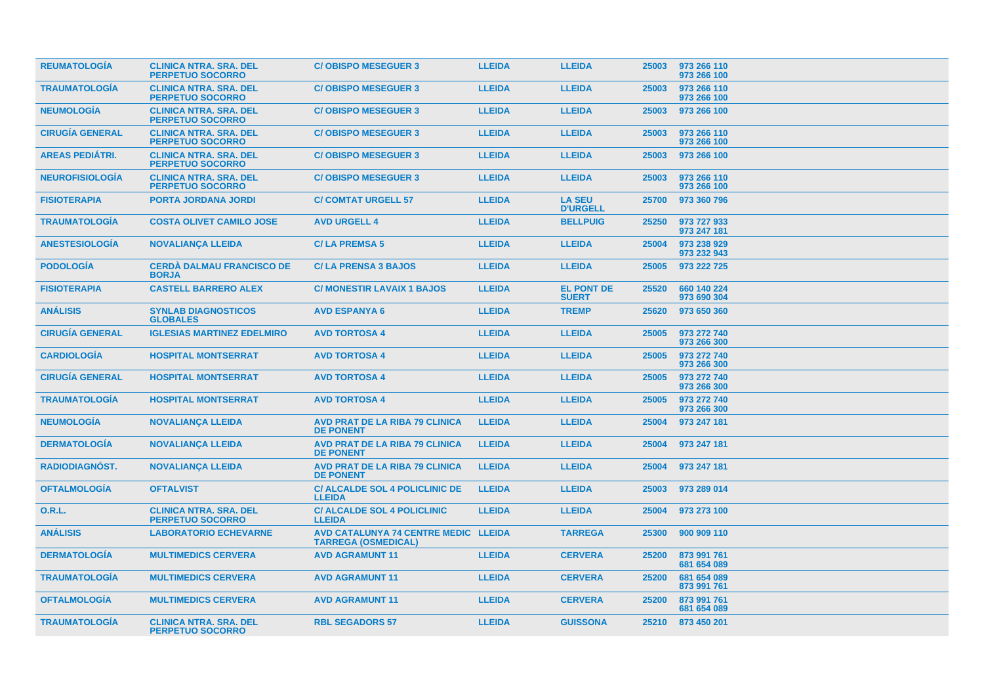| <b>REUMATOLOGIA</b>    | <b>CLINICA NTRA. SRA. DEL</b><br><b>PERPETUO SOCORRO</b> | <b>C/OBISPO MESEGUER 3</b>                                         | <b>LLEIDA</b> | <b>LLEIDA</b>                     | 25003 | 973 266 110<br>973 266 100 |
|------------------------|----------------------------------------------------------|--------------------------------------------------------------------|---------------|-----------------------------------|-------|----------------------------|
| <b>TRAUMATOLOGIA</b>   | <b>CLINICA NTRA. SRA. DEL</b><br><b>PERPETUO SOCORRO</b> | <b>C/OBISPO MESEGUER 3</b>                                         | <b>LLEIDA</b> | <b>LLEIDA</b>                     | 25003 | 973 266 110<br>973 266 100 |
| <b>NEUMOLOGIA</b>      | <b>CLINICA NTRA, SRA, DEL</b><br><b>PERPETUO SOCORRO</b> | <b>C/OBISPO MESEGUER 3</b>                                         | <b>LLEIDA</b> | <b>LLEIDA</b>                     | 25003 | 973 266 100                |
| <b>CIRUGÍA GENERAL</b> | <b>CLINICA NTRA. SRA. DEL</b><br><b>PERPETUO SOCORRO</b> | <b>C/OBISPO MESEGUER 3</b>                                         | <b>LLEIDA</b> | <b>LLEIDA</b>                     | 25003 | 973 266 110<br>973 266 100 |
| <b>AREAS PEDIATRI.</b> | <b>CLINICA NTRA. SRA. DEL</b><br><b>PERPETUO SOCORRO</b> | <b>C/OBISPO MESEGUER 3</b>                                         | <b>LLEIDA</b> | <b>LLEIDA</b>                     | 25003 | 973 266 100                |
| <b>NEUROFISIOLOGÍA</b> | <b>CLINICA NTRA, SRA, DEL</b><br><b>PERPETUO SOCORRO</b> | <b>C/OBISPO MESEGUER 3</b>                                         | <b>LLEIDA</b> | <b>LLEIDA</b>                     | 25003 | 973 266 110<br>973 266 100 |
| <b>FISIOTERAPIA</b>    | <b>PORTA JORDANA JORDI</b>                               | <b>C/ COMTAT URGELL 57</b>                                         | <b>LLEIDA</b> | <b>LA SEU</b><br><b>D'URGELL</b>  | 25700 | 973 360 796                |
| <b>TRAUMATOLOGIA</b>   | <b>COSTA OLIVET CAMILO JOSE</b>                          | <b>AVD URGELL 4</b>                                                | <b>LLEIDA</b> | <b>BELLPUIG</b>                   | 25250 | 973 727 933<br>973 247 181 |
| <b>ANESTESIOLOGÍA</b>  | <b>NOVALIANÇA LLEIDA</b>                                 | <b>C/LA PREMSA 5</b>                                               | <b>LLEIDA</b> | <b>LLEIDA</b>                     | 25004 | 973 238 929<br>973 232 943 |
| <b>PODOLOGIA</b>       | <b>CERDA DALMAU FRANCISCO DE</b><br><b>BORJA</b>         | <b>C/LA PRENSA 3 BAJOS</b>                                         | <b>LLEIDA</b> | <b>LLEIDA</b>                     | 25005 | 973 222 725                |
| <b>FISIOTERAPIA</b>    | <b>CASTELL BARRERO ALEX</b>                              | <b>C/ MONESTIR LAVAIX 1 BAJOS</b>                                  | <b>LLEIDA</b> | <b>EL PONT DE</b><br><b>SUERT</b> | 25520 | 660 140 224<br>973 690 304 |
| <b>ANÁLISIS</b>        | <b>SYNLAB DIAGNOSTICOS</b><br><b>GLOBALES</b>            | <b>AVD ESPANYA 6</b>                                               | <b>LLEIDA</b> | <b>TREMP</b>                      | 25620 | 973 650 360                |
| <b>CIRUGÍA GENERAL</b> | <b>IGLESIAS MARTINEZ EDELMIRO</b>                        | <b>AVD TORTOSA 4</b>                                               | <b>LLEIDA</b> | <b>LLEIDA</b>                     | 25005 | 973 272 740<br>973 266 300 |
| <b>CARDIOLOGIA</b>     | <b>HOSPITAL MONTSERRAT</b>                               | <b>AVD TORTOSA 4</b>                                               | <b>LLEIDA</b> | <b>LLEIDA</b>                     | 25005 | 973 272 740<br>973 266 300 |
| <b>CIRUGÍA GENERAL</b> | <b>HOSPITAL MONTSERRAT</b>                               | <b>AVD TORTOSA 4</b>                                               | <b>LLEIDA</b> | <b>LLEIDA</b>                     | 25005 | 973 272 740<br>973 266 300 |
| <b>TRAUMATOLOGIA</b>   | <b>HOSPITAL MONTSERRAT</b>                               | <b>AVD TORTOSA 4</b>                                               | <b>LLEIDA</b> | <b>LLEIDA</b>                     | 25005 | 973 272 740<br>973 266 300 |
| <b>NEUMOLOGÍA</b>      | <b>NOVALIANÇA LLEIDA</b>                                 | <b>AVD PRAT DE LA RIBA 79 CLINICA</b><br><b>DE PONENT</b>          | <b>LLEIDA</b> | <b>LLEIDA</b>                     | 25004 | 973 247 181                |
| <b>DERMATOLOGIA</b>    | <b>NOVALIANÇA LLEIDA</b>                                 | <b>AVD PRAT DE LA RIBA 79 CLINICA</b><br><b>DE PONENT</b>          | <b>LLEIDA</b> | <b>LLEIDA</b>                     | 25004 | 973 247 181                |
| <b>RADIODIAGNOST.</b>  | <b>NOVALIANÇA LLEIDA</b>                                 | <b>AVD PRAT DE LA RIBA 79 CLINICA</b><br><b>DE PONENT</b>          | <b>LLEIDA</b> | <b>LLEIDA</b>                     | 25004 | 973 247 181                |
| <b>OFTALMOLOGIA</b>    | <b>OFTALVIST</b>                                         | <b>C/ ALCALDE SOL 4 POLICLINIC DE</b><br><b>LLEIDA</b>             | <b>LLEIDA</b> | <b>LLEIDA</b>                     | 25003 | 973 289 014                |
| <b>O.R.L.</b>          | <b>CLINICA NTRA, SRA, DEL</b><br><b>PERPETUO SOCORRO</b> | <b>C/ ALCALDE SOL 4 POLICLINIC</b><br><b>LLEIDA</b>                | <b>LLEIDA</b> | <b>LLEIDA</b>                     | 25004 | 973 273 100                |
| <b>ANÁLISIS</b>        | <b>LABORATORIO ECHEVARNE</b>                             | AVD CATALUNYA 74 CENTRE MEDIC LLEIDA<br><b>TARREGA (OSMEDICAL)</b> |               | <b>TARREGA</b>                    | 25300 | 900 909 110                |
| <b>DERMATOLOGIA</b>    | <b>MULTIMEDICS CERVERA</b>                               | <b>AVD AGRAMUNT 11</b>                                             | <b>LLEIDA</b> | <b>CERVERA</b>                    | 25200 | 873 991 761<br>681 654 089 |
| <b>TRAUMATOLOGÍA</b>   | <b>MULTIMEDICS CERVERA</b>                               | <b>AVD AGRAMUNT 11</b>                                             | <b>LLEIDA</b> | <b>CERVERA</b>                    | 25200 | 681 654 089<br>873 991 761 |
| <b>OFTALMOLOGIA</b>    | <b>MULTIMEDICS CERVERA</b>                               | <b>AVD AGRAMUNT 11</b>                                             | <b>LLEIDA</b> | <b>CERVERA</b>                    | 25200 | 873 991 761<br>681 654 089 |
| <b>TRAUMATOLOGIA</b>   | <b>CLINICA NTRA. SRA. DEL</b><br>PERPETUO SOCORRO        | <b>RBL SEGADORS 57</b>                                             | <b>LLEIDA</b> | <b>GUISSONA</b>                   | 25210 | 873 450 201                |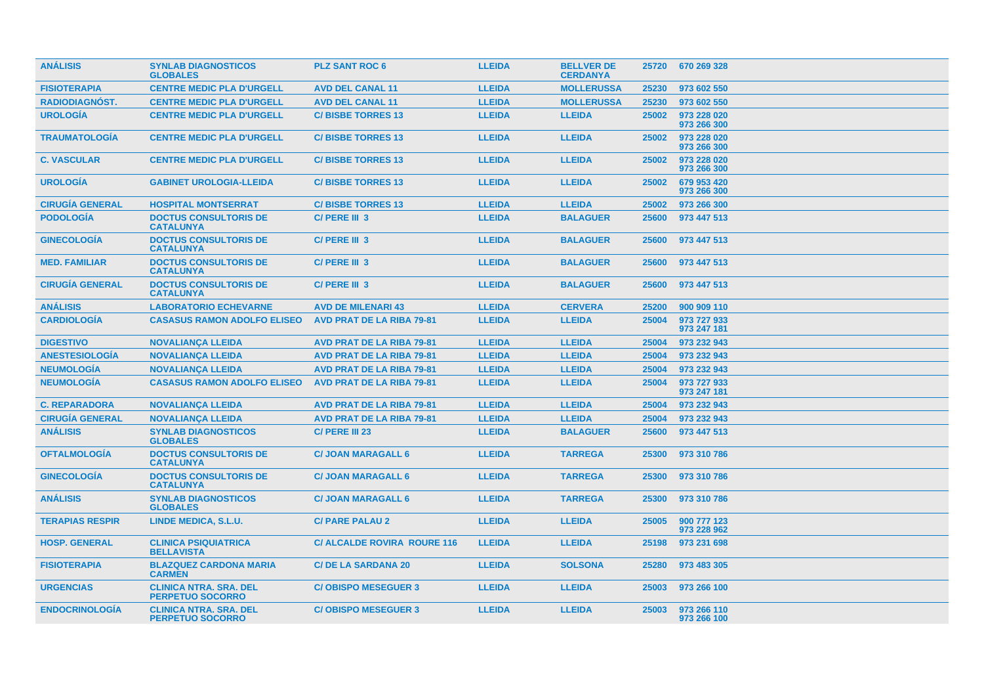| <b>ANÁLISIS</b>        | <b>SYNLAB DIAGNOSTICOS</b><br><b>GLOBALES</b>            | <b>PLZ SANT ROC 6</b>              | <b>LLEIDA</b> | <b>BELLVER DE</b><br><b>CERDANYA</b> |       | 25720 670 269 328          |
|------------------------|----------------------------------------------------------|------------------------------------|---------------|--------------------------------------|-------|----------------------------|
| <b>FISIOTERAPIA</b>    | <b>CENTRE MEDIC PLA D'URGELL</b>                         | <b>AVD DEL CANAL 11</b>            | <b>LLEIDA</b> | <b>MOLLERUSSA</b>                    | 25230 | 973 602 550                |
| <b>RADIODIAGNOST.</b>  | <b>CENTRE MEDIC PLA D'URGELL</b>                         | <b>AVD DEL CANAL 11</b>            | <b>LLEIDA</b> | <b>MOLLERUSSA</b>                    | 25230 | 973 602 550                |
| <b>UROLOGÍA</b>        | <b>CENTRE MEDIC PLA D'URGELL</b>                         | <b>C/BISBE TORRES 13</b>           | <b>LLEIDA</b> | <b>LLEIDA</b>                        | 25002 | 973 228 020<br>973 266 300 |
| <b>TRAUMATOLOGIA</b>   | <b>CENTRE MEDIC PLA D'URGELL</b>                         | <b>C/BISBE TORRES 13</b>           | <b>LLEIDA</b> | <b>LLEIDA</b>                        | 25002 | 973 228 020<br>973 266 300 |
| <b>C. VASCULAR</b>     | <b>CENTRE MEDIC PLA D'URGELL</b>                         | <b>C/BISBE TORRES 13</b>           | <b>LLEIDA</b> | <b>LLEIDA</b>                        | 25002 | 973 228 020<br>973 266 300 |
| <b>UROLOGÍA</b>        | <b>GABINET UROLOGIA-LLEIDA</b>                           | <b>C/BISBE TORRES 13</b>           | <b>LLEIDA</b> | <b>LLEIDA</b>                        | 25002 | 679 953 420<br>973 266 300 |
| <b>CIRUGÍA GENERAL</b> | <b>HOSPITAL MONTSERRAT</b>                               | <b>C/BISBE TORRES 13</b>           | <b>LLEIDA</b> | <b>LLEIDA</b>                        | 25002 | 973 266 300                |
| <b>PODOLOGÍA</b>       | <b>DOCTUS CONSULTORIS DE</b><br><b>CATALUNYA</b>         | C/ PERE III 3                      | <b>LLEIDA</b> | <b>BALAGUER</b>                      | 25600 | 973 447 513                |
| <b>GINECOLOGIA</b>     | <b>DOCTUS CONSULTORIS DE</b><br><b>CATALUNYA</b>         | C/PERE III 3                       | <b>LLEIDA</b> | <b>BALAGUER</b>                      | 25600 | 973 447 513                |
| <b>MED. FAMILIAR</b>   | <b>DOCTUS CONSULTORIS DE</b><br><b>CATALUNYA</b>         | C/PERE III 3                       | <b>LLEIDA</b> | <b>BALAGUER</b>                      | 25600 | 973 447 513                |
| <b>CIRUGIA GENERAL</b> | <b>DOCTUS CONSULTORIS DE</b><br><b>CATALUNYA</b>         | C/PERE III 3                       | <b>LLEIDA</b> | <b>BALAGUER</b>                      | 25600 | 973 447 513                |
| <b>ANÁLISIS</b>        | <b>LABORATORIO ECHEVARNE</b>                             | <b>AVD DE MILENARI 43</b>          | <b>LLEIDA</b> | <b>CERVERA</b>                       | 25200 | 900 909 110                |
| <b>CARDIOLOGIA</b>     | <b>CASASUS RAMON ADOLFO ELISEO</b>                       | <b>AVD PRAT DE LA RIBA 79-81</b>   | <b>LLEIDA</b> | <b>LLEIDA</b>                        | 25004 | 973 727 933<br>973 247 181 |
| <b>DIGESTIVO</b>       | <b>NOVALIANÇA LLEIDA</b>                                 | <b>AVD PRAT DE LA RIBA 79-81</b>   | <b>LLEIDA</b> | <b>LLEIDA</b>                        | 25004 | 973 232 943                |
| <b>ANESTESIOLOGIA</b>  | <b>NOVALIANÇA LLEIDA</b>                                 | <b>AVD PRAT DE LA RIBA 79-81</b>   | <b>LLEIDA</b> | <b>LLEIDA</b>                        | 25004 | 973 232 943                |
| <b>NEUMOLOGÍA</b>      | <b>NOVALIANCA LLEIDA</b>                                 | <b>AVD PRAT DE LA RIBA 79-81</b>   | <b>LLEIDA</b> | <b>LLEIDA</b>                        | 25004 | 973 232 943                |
| <b>NEUMOLOGÍA</b>      | <b>CASASUS RAMON ADOLFO ELISEO</b>                       | <b>AVD PRAT DE LA RIBA 79-81</b>   | <b>LLEIDA</b> | <b>LLEIDA</b>                        | 25004 | 973 727 933<br>973 247 181 |
| <b>C. REPARADORA</b>   | <b>NOVALIANCA LLEIDA</b>                                 | <b>AVD PRAT DE LA RIBA 79-81</b>   | <b>LLEIDA</b> | <b>LLEIDA</b>                        | 25004 | 973 232 943                |
| <b>CIRUGÍA GENERAL</b> | <b>NOVALIANÇA LLEIDA</b>                                 | <b>AVD PRAT DE LA RIBA 79-81</b>   | <b>LLEIDA</b> | <b>LLEIDA</b>                        | 25004 | 973 232 943                |
| <b>ANÁLISIS</b>        | <b>SYNLAB DIAGNOSTICOS</b><br><b>GLOBALES</b>            | C/ PERE III 23                     | <b>LLEIDA</b> | <b>BALAGUER</b>                      | 25600 | 973 447 513                |
| <b>OFTALMOLOGÍA</b>    | <b>DOCTUS CONSULTORIS DE</b><br><b>CATALUNYA</b>         | <b>C/ JOAN MARAGALL 6</b>          | <b>LLEIDA</b> | <b>TARREGA</b>                       | 25300 | 973 310 786                |
| <b>GINECOLOGIA</b>     | <b>DOCTUS CONSULTORIS DE</b><br><b>CATALUNYA</b>         | <b>C/ JOAN MARAGALL 6</b>          | <b>LLEIDA</b> | <b>TARREGA</b>                       | 25300 | 973 310 786                |
| <b>ANÁLISIS</b>        | <b>SYNLAB DIAGNOSTICOS</b><br><b>GLOBALES</b>            | <b>C/ JOAN MARAGALL 6</b>          | <b>LLEIDA</b> | <b>TARREGA</b>                       | 25300 | 973 310 786                |
| <b>TERAPIAS RESPIR</b> | LINDE MEDICA, S.L.U.                                     | <b>C/ PARE PALAU 2</b>             | <b>LLEIDA</b> | <b>LLEIDA</b>                        | 25005 | 900 777 123<br>973 228 962 |
| <b>HOSP. GENERAL</b>   | <b>CLINICA PSIQUIATRICA</b><br><b>BELLAVISTA</b>         | <b>C/ ALCALDE ROVIRA ROURE 116</b> | <b>LLEIDA</b> | <b>LLEIDA</b>                        | 25198 | 973 231 698                |
| <b>FISIOTERAPIA</b>    | <b>BLAZQUEZ CARDONA MARIA</b><br><b>CARMEN</b>           | <b>C/DE LA SARDANA 20</b>          | <b>LLEIDA</b> | <b>SOLSONA</b>                       | 25280 | 973 483 305                |
| <b>URGENCIAS</b>       | <b>CLINICA NTRA, SRA, DEL</b><br><b>PERPETUO SOCORRO</b> | <b>C/OBISPO MESEGUER 3</b>         | <b>LLEIDA</b> | <b>LLEIDA</b>                        | 25003 | 973 266 100                |
| <b>ENDOCRINOLOGIA</b>  | <b>CLINICA NTRA. SRA. DEL</b><br><b>PERPETUO SOCORRO</b> | <b>C/OBISPO MESEGUER 3</b>         | <b>LLEIDA</b> | <b>LLEIDA</b>                        | 25003 | 973 266 110<br>973 266 100 |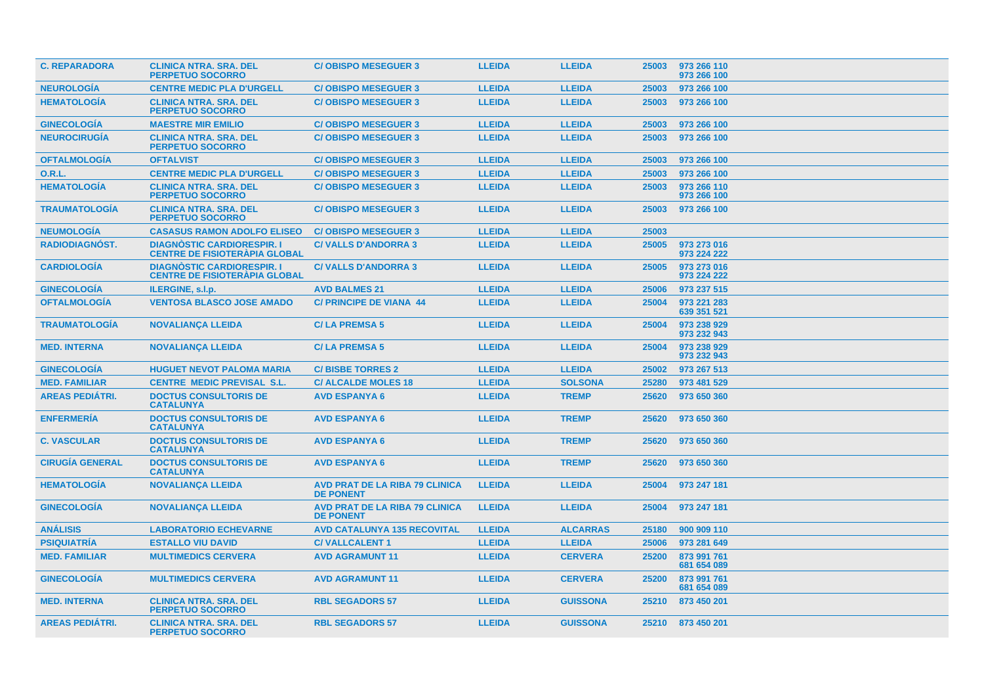| <b>C. REPARADORA</b>   | <b>CLINICA NTRA. SRA. DEL</b><br><b>PERPETUO SOCORRO</b>                | <b>C/OBISPO MESEGUER 3</b>                                | <b>LLEIDA</b> | <b>LLEIDA</b>   | 25003 | 973 266 110<br>973 266 100 |
|------------------------|-------------------------------------------------------------------------|-----------------------------------------------------------|---------------|-----------------|-------|----------------------------|
| <b>NEUROLOGIA</b>      | <b>CENTRE MEDIC PLA D'URGELL</b>                                        | <b>C/OBISPO MESEGUER 3</b>                                | <b>LLEIDA</b> | <b>LLEIDA</b>   | 25003 | 973 266 100                |
| <b>HEMATOLOGÍA</b>     | <b>CLINICA NTRA. SRA. DEL</b><br><b>PERPETUO SOCORRO</b>                | <b>C/OBISPO MESEGUER 3</b>                                | <b>LLEIDA</b> | <b>LLEIDA</b>   | 25003 | 973 266 100                |
| <b>GINECOLOGÍA</b>     | <b>MAESTRE MIR EMILIO</b>                                               | <b>C/OBISPO MESEGUER 3</b>                                | <b>LLEIDA</b> | <b>LLEIDA</b>   | 25003 | 973 266 100                |
| <b>NEUROCIRUGÍA</b>    | <b>CLINICA NTRA, SRA, DEL</b><br><b>PERPETUO SOCORRO</b>                | <b>C/OBISPO MESEGUER 3</b>                                | <b>LLEIDA</b> | <b>LLEIDA</b>   | 25003 | 973 266 100                |
| <b>OFTALMOLOGIA</b>    | <b>OFTALVIST</b>                                                        | <b>C/OBISPO MESEGUER 3</b>                                | <b>LLEIDA</b> | <b>LLEIDA</b>   | 25003 | 973 266 100                |
| <b>O.R.L.</b>          | <b>CENTRE MEDIC PLA D'URGELL</b>                                        | <b>C/OBISPO MESEGUER 3</b>                                | <b>LLEIDA</b> | <b>LLEIDA</b>   | 25003 | 973 266 100                |
| <b>HEMATOLOGÍA</b>     | <b>CLINICA NTRA. SRA. DEL</b><br><b>PERPETUO SOCORRO</b>                | <b>C/OBISPO MESEGUER 3</b>                                | <b>LLEIDA</b> | <b>LLEIDA</b>   | 25003 | 973 266 110<br>973 266 100 |
| <b>TRAUMATOLOGÍA</b>   | <b>CLINICA NTRA, SRA, DEL</b><br><b>PERPETUO SOCORRO</b>                | <b>C/OBISPO MESEGUER 3</b>                                | <b>LLEIDA</b> | <b>LLEIDA</b>   | 25003 | 973 266 100                |
| <b>NEUMOLOGIA</b>      | <b>CASASUS RAMON ADOLFO ELISEO</b>                                      | <b>C/OBISPO MESEGUER 3</b>                                | <b>LLEIDA</b> | <b>LLEIDA</b>   | 25003 |                            |
| <b>RADIODIAGNOST.</b>  | <b>DIAGNOSTIC CARDIORESPIR.</b><br><b>CENTRE DE FISIOTERÀPIA GLOBAL</b> | <b>C/VALLS D'ANDORRA 3</b>                                | <b>LLEIDA</b> | <b>LLEIDA</b>   | 25005 | 973 273 016<br>973 224 222 |
| <b>CARDIOLOGÍA</b>     | <b>DIAGNOSTIC CARDIORESPIR.</b><br><b>CENTRE DE FISIOTERAPIA GLOBAL</b> | <b>C/VALLS D'ANDORRA 3</b>                                | <b>LLEIDA</b> | <b>LLEIDA</b>   | 25005 | 973 273 016<br>973 224 222 |
| <b>GINECOLOGÍA</b>     | ILERGINE, s.l.p.                                                        | <b>AVD BALMES 21</b>                                      | <b>LLEIDA</b> | <b>LLEIDA</b>   | 25006 | 973 237 515                |
| <b>OFTALMOLOGIA</b>    | <b>VENTOSA BLASCO JOSE AMADO</b>                                        | <b>C/ PRINCIPE DE VIANA 44</b>                            | <b>LLEIDA</b> | <b>LLEIDA</b>   | 25004 | 973 221 283<br>639 351 521 |
| <b>TRAUMATOLOGIA</b>   | <b>NOVALIANÇA LLEIDA</b>                                                | <b>C/LA PREMSA 5</b>                                      | <b>LLEIDA</b> | <b>LLEIDA</b>   | 25004 | 973 238 929<br>973 232 943 |
| <b>MED. INTERNA</b>    | <b>NOVALIANÇA LLEIDA</b>                                                | <b>C/LA PREMSA 5</b>                                      | <b>LLEIDA</b> | <b>LLEIDA</b>   | 25004 | 973 238 929<br>973 232 943 |
| <b>GINECOLOGÍA</b>     | <b>HUGUET NEVOT PALOMA MARIA</b>                                        | <b>C/BISBE TORRES 2</b>                                   | <b>LLEIDA</b> | <b>LLEIDA</b>   | 25002 | 973 267 513                |
| <b>MED. FAMILIAR</b>   | <b>CENTRE MEDIC PREVISAL S.L.</b>                                       | <b>C/ALCALDE MOLES 18</b>                                 | <b>LLEIDA</b> | <b>SOLSONA</b>  | 25280 | 973 481 529                |
| <b>AREAS PEDIÁTRI.</b> | <b>DOCTUS CONSULTORIS DE</b><br><b>CATALUNYA</b>                        | <b>AVD ESPANYA 6</b>                                      | <b>LLEIDA</b> | <b>TREMP</b>    | 25620 | 973 650 360                |
| <b>ENFERMERIA</b>      | <b>DOCTUS CONSULTORIS DE</b><br><b>CATALUNYA</b>                        | <b>AVD ESPANYA 6</b>                                      | <b>LLEIDA</b> | <b>TREMP</b>    | 25620 | 973 650 360                |
| <b>C. VASCULAR</b>     | <b>DOCTUS CONSULTORIS DE</b><br><b>CATALUNYA</b>                        | <b>AVD ESPANYA 6</b>                                      | <b>LLEIDA</b> | <b>TREMP</b>    | 25620 | 973 650 360                |
| <b>CIRUGÍA GENERAL</b> | <b>DOCTUS CONSULTORIS DE</b><br><b>CATALUNYA</b>                        | <b>AVD ESPANYA 6</b>                                      | <b>LLEIDA</b> | <b>TREMP</b>    | 25620 | 973 650 360                |
| <b>HEMATOLOGIA</b>     | <b>NOVALIANÇA LLEIDA</b>                                                | <b>AVD PRAT DE LA RIBA 79 CLINICA</b><br><b>DE PONENT</b> | <b>LLEIDA</b> | <b>LLEIDA</b>   | 25004 | 973 247 181                |
| <b>GINECOLOGIA</b>     | <b>NOVALIANÇA LLEIDA</b>                                                | <b>AVD PRAT DE LA RIBA 79 CLINICA</b><br><b>DE PONENT</b> | <b>LLEIDA</b> | <b>LLEIDA</b>   | 25004 | 973 247 181                |
| <b>ANÁLISIS</b>        | <b>LABORATORIO ECHEVARNE</b>                                            | <b>AVD CATALUNYA 135 RECOVITAL</b>                        | <b>LLEIDA</b> | <b>ALCARRAS</b> | 25180 | 900 909 110                |
| <b>PSIQUIATRÍA</b>     | <b>ESTALLO VIU DAVID</b>                                                | <b>C/VALLCALENT1</b>                                      | <b>LLEIDA</b> | <b>LLEIDA</b>   | 25006 | 973 281 649                |
| <b>MED. FAMILIAR</b>   | <b>MULTIMEDICS CERVERA</b>                                              | <b>AVD AGRAMUNT 11</b>                                    | <b>LLEIDA</b> | <b>CERVERA</b>  | 25200 | 873 991 761<br>681 654 089 |
| <b>GINECOLOGÍA</b>     | <b>MULTIMEDICS CERVERA</b>                                              | <b>AVD AGRAMUNT 11</b>                                    | <b>LLEIDA</b> | <b>CERVERA</b>  | 25200 | 873 991 761<br>681 654 089 |
| <b>MED. INTERNA</b>    | <b>CLINICA NTRA. SRA. DEL</b><br><b>PERPETUO SOCORRO</b>                | <b>RBL SEGADORS 57</b>                                    | <b>LLEIDA</b> | <b>GUISSONA</b> | 25210 | 873 450 201                |
| <b>AREAS PEDIATRI.</b> | <b>CLINICA NTRA, SRA, DEL</b><br><b>PERPETUO SOCORRO</b>                | <b>RBL SEGADORS 57</b>                                    | <b>LLEIDA</b> | <b>GUISSONA</b> |       | 25210 873 450 201          |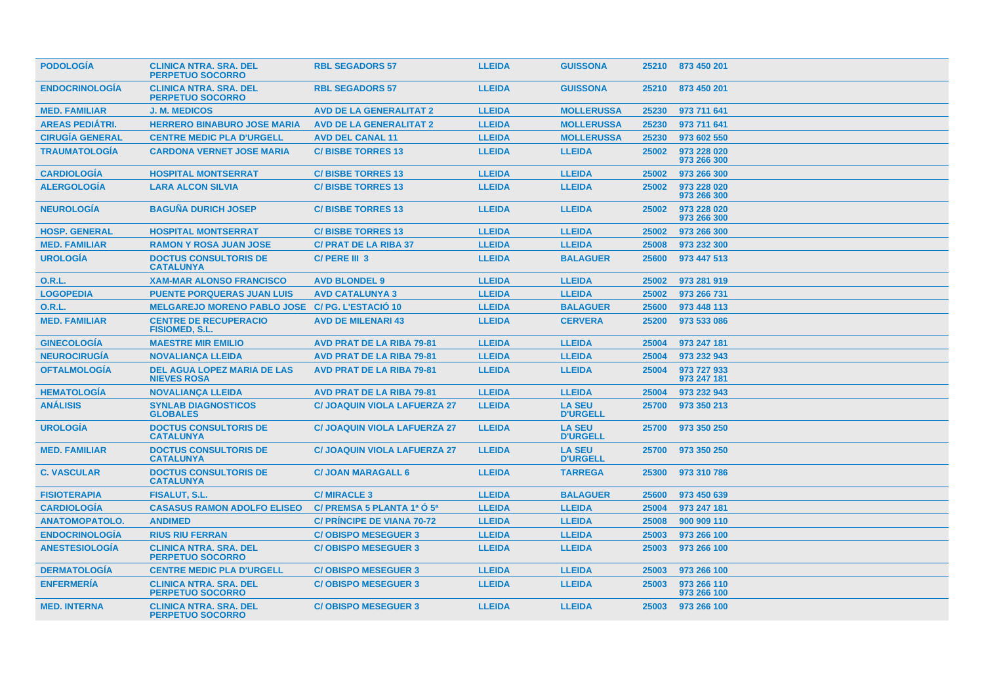| <b>PODOLOGIA</b>       | <b>CLINICA NTRA. SRA. DEL</b><br><b>PERPETUO SOCORRO</b> | <b>RBL SEGADORS 57</b>              | <b>LLEIDA</b> | <b>GUISSONA</b>                  |       | 25210 873 450 201          |
|------------------------|----------------------------------------------------------|-------------------------------------|---------------|----------------------------------|-------|----------------------------|
| <b>ENDOCRINOLOGIA</b>  | <b>CLINICA NTRA. SRA. DEL</b><br><b>PERPETUO SOCORRO</b> | <b>RBL SEGADORS 57</b>              | <b>LLEIDA</b> | <b>GUISSONA</b>                  | 25210 | 873 450 201                |
| <b>MED. FAMILIAR</b>   | <b>J. M. MEDICOS</b>                                     | <b>AVD DE LA GENERALITAT 2</b>      | <b>LLEIDA</b> | <b>MOLLERUSSA</b>                | 25230 | 973 711 641                |
| <b>AREAS PEDIÁTRI.</b> | <b>HERRERO BINABURO JOSE MARIA</b>                       | <b>AVD DE LA GENERALITAT 2</b>      | <b>LLEIDA</b> | <b>MOLLERUSSA</b>                | 25230 | 973 711 641                |
| <b>CIRUGÍA GENERAL</b> | <b>CENTRE MEDIC PLA D'URGELL</b>                         | <b>AVD DEL CANAL 11</b>             | <b>LLEIDA</b> | <b>MOLLERUSSA</b>                | 25230 | 973 602 550                |
| <b>TRAUMATOLOGÍA</b>   | <b>CARDONA VERNET JOSE MARIA</b>                         | <b>C/BISBE TORRES 13</b>            | <b>LLEIDA</b> | <b>LLEIDA</b>                    | 25002 | 973 228 020<br>973 266 300 |
| <b>CARDIOLOGÍA</b>     | <b>HOSPITAL MONTSERRAT</b>                               | <b>C/BISBE TORRES 13</b>            | <b>LLEIDA</b> | <b>LLEIDA</b>                    | 25002 | 973 266 300                |
| <b>ALERGOLOGÍA</b>     | <b>LARA ALCON SILVIA</b>                                 | <b>C/BISBE TORRES 13</b>            | <b>LLEIDA</b> | <b>LLEIDA</b>                    | 25002 | 973 228 020<br>973 266 300 |
| <b>NEUROLOGIA</b>      | <b>BAGUÑA DURICH JOSEP</b>                               | <b>C/BISBE TORRES 13</b>            | <b>LLEIDA</b> | <b>LLEIDA</b>                    | 25002 | 973 228 020<br>973 266 300 |
| <b>HOSP. GENERAL</b>   | <b>HOSPITAL MONTSERRAT</b>                               | <b>C/BISBE TORRES 13</b>            | <b>LLEIDA</b> | <b>LLEIDA</b>                    | 25002 | 973 266 300                |
| <b>MED. FAMILIAR</b>   | <b>RAMON Y ROSA JUAN JOSE</b>                            | <b>C/ PRAT DE LA RIBA 37</b>        | <b>LLEIDA</b> | <b>LLEIDA</b>                    | 25008 | 973 232 300                |
| <b>UROLOGÍA</b>        | <b>DOCTUS CONSULTORIS DE</b><br><b>CATALUNYA</b>         | C/PERE III 3                        | <b>LLEIDA</b> | <b>BALAGUER</b>                  | 25600 | 973 447 513                |
| <b>O.R.L.</b>          | <b>XAM-MAR ALONSO FRANCISCO</b>                          | <b>AVD BLONDEL 9</b>                | <b>LLEIDA</b> | <b>LLEIDA</b>                    | 25002 | 973 281 919                |
| <b>LOGOPEDIA</b>       | <b>PUENTE PORQUERAS JUAN LUIS</b>                        | <b>AVD CATALUNYA 3</b>              | <b>LLEIDA</b> | <b>LLEIDA</b>                    | 25002 | 973 266 731                |
| <b>O.R.L.</b>          | <b>MELGAREJO MORENO PABLO JOSE</b>                       | C/ PG. L'ESTACIÓ 10                 | <b>LLEIDA</b> | <b>BALAGUER</b>                  | 25600 | 973 448 113                |
| <b>MED. FAMILIAR</b>   | <b>CENTRE DE RECUPERACIO</b><br><b>FISIOMED, S.L.</b>    | <b>AVD DE MILENARI 43</b>           | <b>LLEIDA</b> | <b>CERVERA</b>                   | 25200 | 973 533 086                |
| <b>GINECOLOGIA</b>     | <b>MAESTRE MIR EMILIO</b>                                | <b>AVD PRAT DE LA RIBA 79-81</b>    | <b>LLEIDA</b> | <b>LLEIDA</b>                    | 25004 | 973 247 181                |
| <b>NEUROCIRUGÍA</b>    | <b>NOVALIANCA LLEIDA</b>                                 | <b>AVD PRAT DE LA RIBA 79-81</b>    | <b>LLEIDA</b> | <b>LLEIDA</b>                    | 25004 | 973 232 943                |
| <b>OFTALMOLOGÍA</b>    | <b>DEL AGUA LOPEZ MARIA DE LAS</b><br><b>NIEVES ROSA</b> | <b>AVD PRAT DE LA RIBA 79-81</b>    | <b>LLEIDA</b> | <b>LLEIDA</b>                    | 25004 | 973 727 933<br>973 247 181 |
| <b>HEMATOLOGIA</b>     | <b>NOVALIANÇA LLEIDA</b>                                 | <b>AVD PRAT DE LA RIBA 79-81</b>    | <b>LLEIDA</b> | <b>LLEIDA</b>                    | 25004 | 973 232 943                |
| <b>ANÁLISIS</b>        | <b>SYNLAB DIAGNOSTICOS</b><br><b>GLOBALES</b>            | <b>C/ JOAQUIN VIOLA LAFUERZA 27</b> | <b>LLEIDA</b> | <b>LA SEU</b><br><b>D'URGELL</b> | 25700 | 973 350 213                |
| <b>UROLOGÍA</b>        | <b>DOCTUS CONSULTORIS DE</b><br><b>CATALUNYA</b>         | <b>C/ JOAQUIN VIOLA LAFUERZA 27</b> | <b>LLEIDA</b> | <b>LA SEU</b><br><b>D'URGELL</b> | 25700 | 973 350 250                |
| <b>MED. FAMILIAR</b>   | <b>DOCTUS CONSULTORIS DE</b><br><b>CATALUNYA</b>         | <b>C/ JOAQUIN VIOLA LAFUERZA 27</b> | <b>LLEIDA</b> | <b>LA SEU</b><br><b>D'URGELL</b> | 25700 | 973 350 250                |
| <b>C. VASCULAR</b>     | <b>DOCTUS CONSULTORIS DE</b><br><b>CATALUNYA</b>         | <b>C/ JOAN MARAGALL 6</b>           | <b>LLEIDA</b> | <b>TARREGA</b>                   | 25300 | 973 310 786                |
| <b>FISIOTERAPIA</b>    | <b>FISALUT, S.L.</b>                                     | <b>C/MIRACLE 3</b>                  | <b>LLEIDA</b> | <b>BALAGUER</b>                  | 25600 | 973 450 639                |
| <b>CARDIOLOGIA</b>     | <b>CASASUS RAMON ADOLFO ELISEO</b>                       | C/ PREMSA 5 PLANTA 1ª O 5ª          | <b>LLEIDA</b> | <b>LLEIDA</b>                    | 25004 | 973 247 181                |
| <b>ANATOMOPATOLO.</b>  | <b>ANDIMED</b>                                           | <b>C/ PRINCIPE DE VIANA 70-72</b>   | <b>LLEIDA</b> | <b>LLEIDA</b>                    | 25008 | 900 909 110                |
| <b>ENDOCRINOLOGIA</b>  | <b>RIUS RIU FERRAN</b>                                   | <b>C/OBISPO MESEGUER 3</b>          | <b>LLEIDA</b> | <b>LLEIDA</b>                    | 25003 | 973 266 100                |
| <b>ANESTESIOLOGÍA</b>  | <b>CLINICA NTRA, SRA, DEL</b><br><b>PERPETUO SOCORRO</b> | <b>C/OBISPO MESEGUER 3</b>          | <b>LLEIDA</b> | <b>LLEIDA</b>                    | 25003 | 973 266 100                |
| <b>DERMATOLOGIA</b>    | <b>CENTRE MEDIC PLA D'URGELL</b>                         | <b>C/OBISPO MESEGUER 3</b>          | <b>LLEIDA</b> | <b>LLEIDA</b>                    | 25003 | 973 266 100                |
| <b>ENFERMERÍA</b>      | <b>CLINICA NTRA, SRA, DEL</b><br><b>PERPETUO SOCORRO</b> | <b>C/OBISPO MESEGUER 3</b>          | <b>LLEIDA</b> | <b>LLEIDA</b>                    | 25003 | 973 266 110<br>973 266 100 |
| <b>MED. INTERNA</b>    | <b>CLINICA NTRA. SRA. DEL</b><br>PERPETUO SOCORRO        | <b>C/OBISPO MESEGUER 3</b>          | <b>LLEIDA</b> | <b>LLEIDA</b>                    | 25003 | 973 266 100                |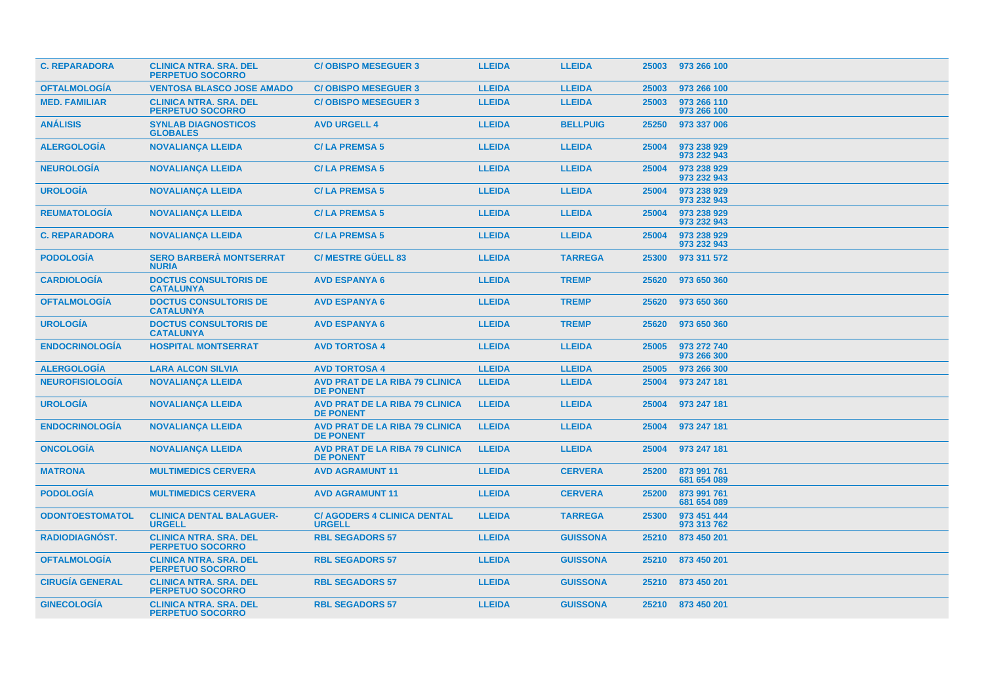| <b>C. REPARADORA</b>   | <b>CLINICA NTRA, SRA, DEL</b><br><b>PERPETUO SOCORRO</b> | <b>C/OBISPO MESEGUER 3</b>                                | <b>LLEIDA</b> | <b>LLEIDA</b>   | 25003 | 973 266 100                |
|------------------------|----------------------------------------------------------|-----------------------------------------------------------|---------------|-----------------|-------|----------------------------|
| <b>OFTALMOLOGIA</b>    | <b>VENTOSA BLASCO JOSE AMADO</b>                         | <b>C/OBISPO MESEGUER 3</b>                                | <b>LLEIDA</b> | <b>LLEIDA</b>   | 25003 | 973 266 100                |
| <b>MED. FAMILIAR</b>   | <b>CLINICA NTRA. SRA. DEL</b><br><b>PERPETUO SOCORRO</b> | <b>C/OBISPO MESEGUER 3</b>                                | <b>LLEIDA</b> | <b>LLEIDA</b>   | 25003 | 973 266 110<br>973 266 100 |
| <b>ANÁLISIS</b>        | <b>SYNLAB DIAGNOSTICOS</b><br><b>GLOBALES</b>            | <b>AVD URGELL 4</b>                                       | <b>LLEIDA</b> | <b>BELLPUIG</b> | 25250 | 973 337 006                |
| <b>ALERGOLOGIA</b>     | <b>NOVALIANÇA LLEIDA</b>                                 | <b>C/LA PREMSA 5</b>                                      | <b>LLEIDA</b> | <b>LLEIDA</b>   | 25004 | 973 238 929<br>973 232 943 |
| <b>NEUROLOGIA</b>      | <b>NOVALIANÇA LLEIDA</b>                                 | <b>C/LA PREMSA 5</b>                                      | <b>LLEIDA</b> | <b>LLEIDA</b>   | 25004 | 973 238 929<br>973 232 943 |
| <b>UROLOGIA</b>        | <b>NOVALIANÇA LLEIDA</b>                                 | <b>C/LA PREMSA 5</b>                                      | <b>LLEIDA</b> | <b>LLEIDA</b>   | 25004 | 973 238 929<br>973 232 943 |
| <b>REUMATOLOGIA</b>    | <b>NOVALIANÇA LLEIDA</b>                                 | <b>C/LA PREMSA 5</b>                                      | <b>LLEIDA</b> | <b>LLEIDA</b>   | 25004 | 973 238 929<br>973 232 943 |
| <b>C. REPARADORA</b>   | <b>NOVALIANÇA LLEIDA</b>                                 | <b>C/LA PREMSA 5</b>                                      | <b>LLEIDA</b> | <b>LLEIDA</b>   | 25004 | 973 238 929<br>973 232 943 |
| <b>PODOLOGIA</b>       | <b>SERO BARBERÀ MONTSERRAT</b><br><b>NURIA</b>           | <b>C/MESTRE GÜELL 83</b>                                  | <b>LLEIDA</b> | <b>TARREGA</b>  | 25300 | 973 311 572                |
| <b>CARDIOLOGIA</b>     | <b>DOCTUS CONSULTORIS DE</b><br><b>CATALUNYA</b>         | <b>AVD ESPANYA 6</b>                                      | <b>LLEIDA</b> | <b>TREMP</b>    | 25620 | 973 650 360                |
| <b>OFTALMOLOGÍA</b>    | <b>DOCTUS CONSULTORIS DE</b><br><b>CATALUNYA</b>         | <b>AVD ESPANYA 6</b>                                      | <b>LLEIDA</b> | <b>TREMP</b>    | 25620 | 973 650 360                |
| <b>UROLOGÍA</b>        | <b>DOCTUS CONSULTORIS DE</b><br><b>CATALUNYA</b>         | <b>AVD ESPANYA 6</b>                                      | <b>LLEIDA</b> | <b>TREMP</b>    | 25620 | 973 650 360                |
| <b>ENDOCRINOLOGÍA</b>  | <b>HOSPITAL MONTSERRAT</b>                               | <b>AVD TORTOSA 4</b>                                      | <b>LLEIDA</b> | <b>LLEIDA</b>   | 25005 | 973 272 740<br>973 266 300 |
| <b>ALERGOLOGIA</b>     | <b>LARA ALCON SILVIA</b>                                 | <b>AVD TORTOSA 4</b>                                      | <b>LLEIDA</b> | <b>LLEIDA</b>   | 25005 | 973 266 300                |
| <b>NEUROFISIOLOGÍA</b> | <b>NOVALIANÇA LLEIDA</b>                                 | <b>AVD PRAT DE LA RIBA 79 CLINICA</b><br><b>DE PONENT</b> | <b>LLEIDA</b> | <b>LLEIDA</b>   | 25004 | 973 247 181                |
| <b>UROLOGIA</b>        | <b>NOVALIANÇA LLEIDA</b>                                 | <b>AVD PRAT DE LA RIBA 79 CLINICA</b><br><b>DE PONENT</b> | <b>LLEIDA</b> | <b>LLEIDA</b>   | 25004 | 973 247 181                |
| <b>ENDOCRINOLOGIA</b>  | <b>NOVALIANÇA LLEIDA</b>                                 | <b>AVD PRAT DE LA RIBA 79 CLINICA</b><br><b>DE PONENT</b> | <b>LLEIDA</b> | <b>LLEIDA</b>   | 25004 | 973 247 181                |
| <b>ONCOLOGIA</b>       | <b>NOVALIANÇA LLEIDA</b>                                 | <b>AVD PRAT DE LA RIBA 79 CLINICA</b><br><b>DE PONENT</b> | <b>LLEIDA</b> | <b>LLEIDA</b>   | 25004 | 973 247 181                |
| <b>MATRONA</b>         | <b>MULTIMEDICS CERVERA</b>                               | <b>AVD AGRAMUNT 11</b>                                    | <b>LLEIDA</b> | <b>CERVERA</b>  | 25200 | 873 991 761<br>681 654 089 |
| <b>PODOLOGIA</b>       | <b>MULTIMEDICS CERVERA</b>                               | <b>AVD AGRAMUNT 11</b>                                    | <b>LLEIDA</b> | <b>CERVERA</b>  | 25200 | 873 991 761<br>681 654 089 |
| <b>ODONTOESTOMATOL</b> | <b>CLINICA DENTAL BALAGUER-</b><br><b>URGELL</b>         | <b>C/ AGODERS 4 CLINICA DENTAL</b><br><b>URGELL</b>       | <b>LLEIDA</b> | <b>TARREGA</b>  | 25300 | 973 451 444<br>973 313 762 |
| <b>RADIODIAGNOST.</b>  | <b>CLINICA NTRA. SRA. DEL</b><br><b>PERPETUO SOCORRO</b> | <b>RBL SEGADORS 57</b>                                    | <b>LLEIDA</b> | <b>GUISSONA</b> | 25210 | 873 450 201                |
| <b>OFTALMOLOGÍA</b>    | <b>CLINICA NTRA. SRA. DEL</b><br><b>PERPETUO SOCORRO</b> | <b>RBL SEGADORS 57</b>                                    | <b>LLEIDA</b> | <b>GUISSONA</b> | 25210 | 873 450 201                |
| <b>CIRUGÍA GENERAL</b> | <b>CLINICA NTRA. SRA. DEL</b><br><b>PERPETUO SOCORRO</b> | <b>RBL SEGADORS 57</b>                                    | <b>LLEIDA</b> | <b>GUISSONA</b> | 25210 | 873 450 201                |
| <b>GINECOLOGÍA</b>     | <b>CLINICA NTRA. SRA. DEL</b><br>PERPETUO SOCORRO        | <b>RBL SEGADORS 57</b>                                    | <b>LLEIDA</b> | <b>GUISSONA</b> |       | 25210 873 450 201          |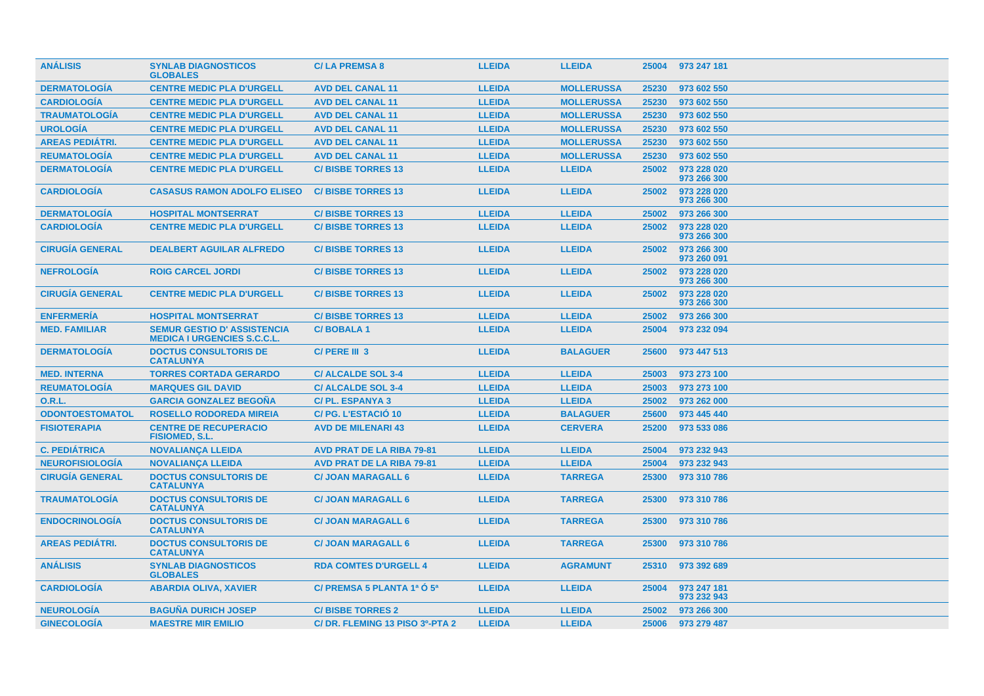| <b>ANÁLISIS</b>        | <b>SYNLAB DIAGNOSTICOS</b><br><b>GLOBALES</b>                            | <b>C/LA PREMSA 8</b>             | <b>LLEIDA</b> | <b>LLEIDA</b>     | 25004 | 973 247 181                |
|------------------------|--------------------------------------------------------------------------|----------------------------------|---------------|-------------------|-------|----------------------------|
| <b>DERMATOLOGÍA</b>    | <b>CENTRE MEDIC PLA D'URGELL</b>                                         | <b>AVD DEL CANAL 11</b>          | <b>LLEIDA</b> | <b>MOLLERUSSA</b> | 25230 | 973 602 550                |
| <b>CARDIOLOGÍA</b>     | <b>CENTRE MEDIC PLA D'URGELL</b>                                         | <b>AVD DEL CANAL 11</b>          | <b>LLEIDA</b> | <b>MOLLERUSSA</b> | 25230 | 973 602 550                |
| <b>TRAUMATOLOGÍA</b>   | <b>CENTRE MEDIC PLA D'URGELL</b>                                         | <b>AVD DEL CANAL 11</b>          | <b>LLEIDA</b> | <b>MOLLERUSSA</b> | 25230 | 973 602 550                |
| <b>UROLOGÍA</b>        | <b>CENTRE MEDIC PLA D'URGELL</b>                                         | <b>AVD DEL CANAL 11</b>          | <b>LLEIDA</b> | <b>MOLLERUSSA</b> | 25230 | 973 602 550                |
| <b>AREAS PEDIÁTRI.</b> | <b>CENTRE MEDIC PLA D'URGELL</b>                                         | <b>AVD DEL CANAL 11</b>          | <b>LLEIDA</b> | <b>MOLLERUSSA</b> | 25230 | 973 602 550                |
| <b>REUMATOLOGÍA</b>    | <b>CENTRE MEDIC PLA D'URGELL</b>                                         | <b>AVD DEL CANAL 11</b>          | <b>LLEIDA</b> | <b>MOLLERUSSA</b> | 25230 | 973 602 550                |
| <b>DERMATOLOGIA</b>    | <b>CENTRE MEDIC PLA D'URGELL</b>                                         | <b>C/BISBE TORRES 13</b>         | <b>LLEIDA</b> | <b>LLEIDA</b>     | 25002 | 973 228 020<br>973 266 300 |
| <b>CARDIOLOGÍA</b>     | <b>CASASUS RAMON ADOLFO ELISEO</b>                                       | <b>C/BISBE TORRES 13</b>         | <b>LLEIDA</b> | <b>LLEIDA</b>     | 25002 | 973 228 020<br>973 266 300 |
| <b>DERMATOLOGIA</b>    | <b>HOSPITAL MONTSERRAT</b>                                               | <b>C/BISBE TORRES 13</b>         | <b>LLEIDA</b> | <b>LLEIDA</b>     | 25002 | 973 266 300                |
| <b>CARDIOLOGIA</b>     | <b>CENTRE MEDIC PLA D'URGELL</b>                                         | <b>C/BISBE TORRES 13</b>         | <b>LLEIDA</b> | <b>LLEIDA</b>     | 25002 | 973 228 020<br>973 266 300 |
| <b>CIRUGIA GENERAL</b> | <b>DEALBERT AGUILAR ALFREDO</b>                                          | <b>C/BISBE TORRES 13</b>         | <b>LLEIDA</b> | <b>LLEIDA</b>     | 25002 | 973 266 300<br>973 260 091 |
| <b>NEFROLOGÍA</b>      | <b>ROIG CARCEL JORDI</b>                                                 | <b>C/BISBE TORRES 13</b>         | <b>LLEIDA</b> | <b>LLEIDA</b>     | 25002 | 973 228 020<br>973 266 300 |
| <b>CIRUGIA GENERAL</b> | <b>CENTRE MEDIC PLA D'URGELL</b>                                         | <b>C/BISBE TORRES 13</b>         | <b>LLEIDA</b> | <b>LLEIDA</b>     | 25002 | 973 228 020<br>973 266 300 |
| <b>ENFERMERÍA</b>      | <b>HOSPITAL MONTSERRAT</b>                                               | <b>C/BISBE TORRES 13</b>         | <b>LLEIDA</b> | <b>LLEIDA</b>     | 25002 | 973 266 300                |
| <b>MED. FAMILIAR</b>   | <b>SEMUR GESTIO D' ASSISTENCIA</b><br><b>MEDICA I URGENCIES S.C.C.L.</b> | <b>C/BOBALA1</b>                 | <b>LLEIDA</b> | <b>LLEIDA</b>     | 25004 | 973 232 094                |
| <b>DERMATOLOGIA</b>    | <b>DOCTUS CONSULTORIS DE</b><br><b>CATALUNYA</b>                         | C/PERE III 3                     | <b>LLEIDA</b> | <b>BALAGUER</b>   | 25600 | 973 447 513                |
| <b>MED. INTERNA</b>    | <b>TORRES CORTADA GERARDO</b>                                            | <b>C/ALCALDE SOL 3-4</b>         | <b>LLEIDA</b> | <b>LLEIDA</b>     | 25003 | 973 273 100                |
| <b>REUMATOLOGÍA</b>    | <b>MARQUES GIL DAVID</b>                                                 | <b>C/ALCALDE SOL 3-4</b>         | <b>LLEIDA</b> | <b>LLEIDA</b>     | 25003 | 973 273 100                |
| 0.R.L.                 | <b>GARCIA GONZALEZ BEGONA</b>                                            | <b>C/PL. ESPANYA 3</b>           | <b>LLEIDA</b> | <b>LLEIDA</b>     | 25002 | 973 262 000                |
| <b>ODONTOESTOMATOL</b> | <b>ROSELLO RODOREDA MIREIA</b>                                           | C/PG. L'ESTACIÓ 10               | <b>LLEIDA</b> | <b>BALAGUER</b>   | 25600 | 973 445 440                |
| <b>FISIOTERAPIA</b>    | <b>CENTRE DE RECUPERACIO</b><br><b>FISIOMED, S.L.</b>                    | <b>AVD DE MILENARI 43</b>        | <b>LLEIDA</b> | <b>CERVERA</b>    | 25200 | 973 533 086                |
| <b>C. PEDIATRICA</b>   | <b>NOVALIANCA LLEIDA</b>                                                 | <b>AVD PRAT DE LA RIBA 79-81</b> | <b>LLEIDA</b> | <b>LLEIDA</b>     | 25004 | 973 232 943                |
| <b>NEUROFISIOLOGÍA</b> | <b>NOVALIANÇA LLEIDA</b>                                                 | <b>AVD PRAT DE LA RIBA 79-81</b> | <b>LLEIDA</b> | <b>LLEIDA</b>     | 25004 | 973 232 943                |
| <b>CIRUGÍA GENERAL</b> | <b>DOCTUS CONSULTORIS DE</b><br><b>CATALUNYA</b>                         | <b>C/ JOAN MARAGALL 6</b>        | <b>LLEIDA</b> | <b>TARREGA</b>    | 25300 | 973 310 786                |
| <b>TRAUMATOLOGIA</b>   | <b>DOCTUS CONSULTORIS DE</b><br><b>CATALUNYA</b>                         | <b>C/ JOAN MARAGALL 6</b>        | <b>LLEIDA</b> | <b>TARREGA</b>    | 25300 | 973 310 786                |
| <b>ENDOCRINOLOGIA</b>  | <b>DOCTUS CONSULTORIS DE</b><br><b>CATALUNYA</b>                         | <b>C/ JOAN MARAGALL 6</b>        | <b>LLEIDA</b> | <b>TARREGA</b>    | 25300 | 973 310 786                |
| <b>AREAS PEDIATRI.</b> | <b>DOCTUS CONSULTORIS DE</b><br><b>CATALUNYA</b>                         | <b>C/ JOAN MARAGALL 6</b>        | <b>LLEIDA</b> | <b>TARREGA</b>    | 25300 | 973 310 786                |
| <b>ANALISIS</b>        | <b>SYNLAB DIAGNOSTICOS</b><br><b>GLOBALES</b>                            | <b>RDA COMTES D'URGELL 4</b>     | <b>LLEIDA</b> | <b>AGRAMUNT</b>   | 25310 | 973 392 689                |
| <b>CARDIOLOGIA</b>     | <b>ABARDIA OLIVA, XAVIER</b>                                             | C/ PREMSA 5 PLANTA 1ª O 5ª       | <b>LLEIDA</b> | <b>LLEIDA</b>     | 25004 | 973 247 181<br>973 232 943 |
| <b>NEUROLOGIA</b>      | <b>BAGUNA DURICH JOSEP</b>                                               | <b>C/BISBE TORRES 2</b>          | <b>LLEIDA</b> | <b>LLEIDA</b>     | 25002 | 973 266 300                |
| <b>GINECOLOGIA</b>     | <b>MAESTRE MIR EMILIO</b>                                                | C/DR. FLEMING 13 PISO 3º-PTA 2   | <b>LLEIDA</b> | <b>LLEIDA</b>     | 25006 | 973 279 487                |
|                        |                                                                          |                                  |               |                   |       |                            |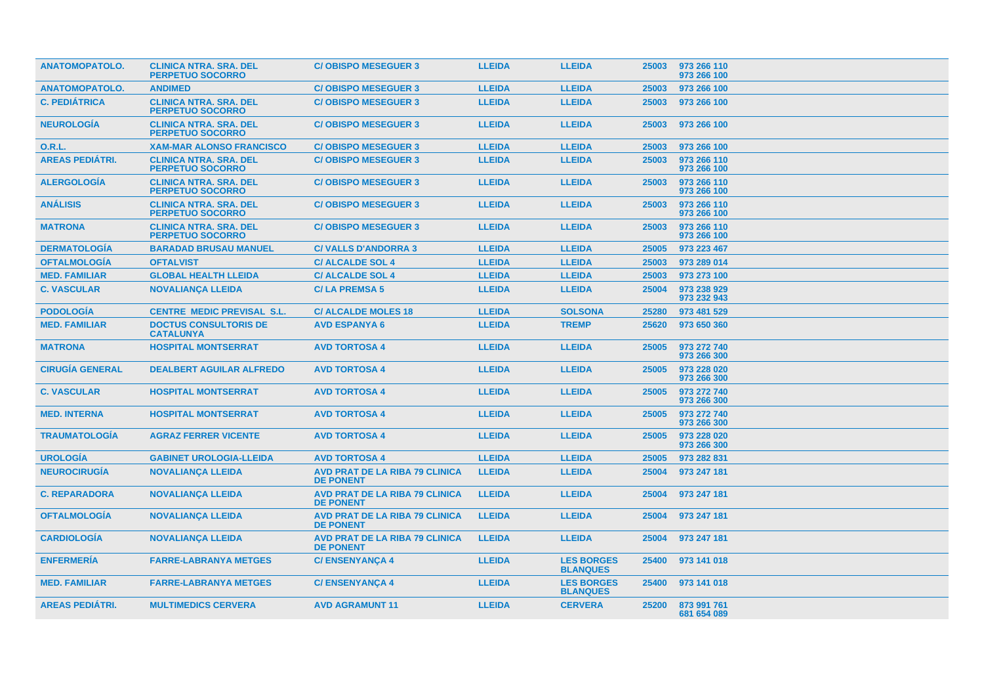| <b>ANATOMOPATOLO.</b>  | <b>CLINICA NTRA. SRA. DEL</b><br><b>PERPETUO SOCORRO</b> | <b>C/OBISPO MESEGUER 3</b>                                | <b>LLEIDA</b> | <b>LLEIDA</b>                        | 25003 | 973 266 110<br>973 266 100 |
|------------------------|----------------------------------------------------------|-----------------------------------------------------------|---------------|--------------------------------------|-------|----------------------------|
| <b>ANATOMOPATOLO.</b>  | <b>ANDIMED</b>                                           | <b>C/OBISPO MESEGUER 3</b>                                | <b>LLEIDA</b> | <b>LLEIDA</b>                        | 25003 | 973 266 100                |
| <b>C. PEDIÁTRICA</b>   | <b>CLINICA NTRA, SRA, DEL</b><br><b>PERPETUO SOCORRO</b> | <b>C/OBISPO MESEGUER 3</b>                                | <b>LLEIDA</b> | <b>LLEIDA</b>                        | 25003 | 973 266 100                |
| <b>NEUROLOGIA</b>      | <b>CLINICA NTRA. SRA. DEL</b><br><b>PERPETUO SOCORRO</b> | <b>C/OBISPO MESEGUER 3</b>                                | <b>LLEIDA</b> | <b>LLEIDA</b>                        | 25003 | 973 266 100                |
| 0.R.L.                 | <b>XAM-MAR ALONSO FRANCISCO</b>                          | <b>C/OBISPO MESEGUER 3</b>                                | <b>LLEIDA</b> | <b>LLEIDA</b>                        | 25003 | 973 266 100                |
| <b>AREAS PEDIÁTRI.</b> | <b>CLINICA NTRA. SRA. DEL</b><br><b>PERPETUO SOCORRO</b> | <b>C/OBISPO MESEGUER 3</b>                                | <b>LLEIDA</b> | <b>LLEIDA</b>                        | 25003 | 973 266 110<br>973 266 100 |
| <b>ALERGOLOGIA</b>     | <b>CLINICA NTRA. SRA. DEL</b><br><b>PERPETUO SOCORRO</b> | <b>C/OBISPO MESEGUER 3</b>                                | <b>LLEIDA</b> | <b>LLEIDA</b>                        | 25003 | 973 266 110<br>973 266 100 |
| <b>ANÁLISIS</b>        | <b>CLINICA NTRA, SRA, DEL</b><br><b>PERPETUO SOCORRO</b> | <b>C/OBISPO MESEGUER 3</b>                                | <b>LLEIDA</b> | <b>LLEIDA</b>                        | 25003 | 973 266 110<br>973 266 100 |
| <b>MATRONA</b>         | <b>CLINICA NTRA. SRA. DEL</b><br><b>PERPETUO SOCORRO</b> | <b>C/OBISPO MESEGUER 3</b>                                | <b>LLEIDA</b> | <b>LLEIDA</b>                        | 25003 | 973 266 110<br>973 266 100 |
| <b>DERMATOLOGÍA</b>    | <b>BARADAD BRUSAU MANUEL</b>                             | <b>C/VALLS D'ANDORRA 3</b>                                | <b>LLEIDA</b> | <b>LLEIDA</b>                        | 25005 | 973 223 467                |
| <b>OFTALMOLOGÍA</b>    | <b>OFTALVIST</b>                                         | <b>C/ALCALDE SOL 4</b>                                    | <b>LLEIDA</b> | <b>LLEIDA</b>                        | 25003 | 973 289 014                |
| <b>MED. FAMILIAR</b>   | <b>GLOBAL HEALTH LLEIDA</b>                              | <b>C/ALCALDE SOL 4</b>                                    | <b>LLEIDA</b> | <b>LLEIDA</b>                        | 25003 | 973 273 100                |
| <b>C. VASCULAR</b>     | <b>NOVALIANCA LLEIDA</b>                                 | <b>C/LA PREMSA 5</b>                                      | <b>LLEIDA</b> | <b>LLEIDA</b>                        | 25004 | 973 238 929<br>973 232 943 |
| <b>PODOLOGÍA</b>       | <b>CENTRE MEDIC PREVISAL S.L.</b>                        | <b>C/ALCALDE MOLES 18</b>                                 | <b>LLEIDA</b> | <b>SOLSONA</b>                       | 25280 | 973 481 529                |
| <b>MED. FAMILIAR</b>   | <b>DOCTUS CONSULTORIS DE</b><br><b>CATALUNYA</b>         | <b>AVD ESPANYA 6</b>                                      | <b>LLEIDA</b> | <b>TREMP</b>                         | 25620 | 973 650 360                |
| <b>MATRONA</b>         | <b>HOSPITAL MONTSERRAT</b>                               | <b>AVD TORTOSA 4</b>                                      | <b>LLEIDA</b> | <b>LLEIDA</b>                        | 25005 | 973 272 740<br>973 266 300 |
| <b>CIRUGIA GENERAL</b> | <b>DEALBERT AGUILAR ALFREDO</b>                          | <b>AVD TORTOSA 4</b>                                      | <b>LLEIDA</b> | <b>LLEIDA</b>                        | 25005 | 973 228 020<br>973 266 300 |
| <b>C. VASCULAR</b>     | <b>HOSPITAL MONTSERRAT</b>                               | <b>AVD TORTOSA 4</b>                                      | <b>LLEIDA</b> | <b>LLEIDA</b>                        | 25005 | 973 272 740<br>973 266 300 |
| <b>MED. INTERNA</b>    | <b>HOSPITAL MONTSERRAT</b>                               | <b>AVD TORTOSA 4</b>                                      | <b>LLEIDA</b> | <b>LLEIDA</b>                        | 25005 | 973 272 740<br>973 266 300 |
| <b>TRAUMATOLOGIA</b>   | <b>AGRAZ FERRER VICENTE</b>                              | <b>AVD TORTOSA 4</b>                                      | <b>LLEIDA</b> | <b>LLEIDA</b>                        | 25005 | 973 228 020<br>973 266 300 |
| <b>UROLOGÍA</b>        | <b>GABINET UROLOGIA-LLEIDA</b>                           | <b>AVD TORTOSA 4</b>                                      | <b>LLEIDA</b> | <b>LLEIDA</b>                        | 25005 | 973 282 831                |
| <b>NEUROCIRUGÍA</b>    | <b>NOVALIANÇA LLEIDA</b>                                 | <b>AVD PRAT DE LA RIBA 79 CLINICA</b><br><b>DE PONENT</b> | <b>LLEIDA</b> | <b>LLEIDA</b>                        | 25004 | 973 247 181                |
| <b>C. REPARADORA</b>   | <b>NOVALIANCA LLEIDA</b>                                 | <b>AVD PRAT DE LA RIBA 79 CLINICA</b><br><b>DE PONENT</b> | <b>LLEIDA</b> | <b>LLEIDA</b>                        | 25004 | 973 247 181                |
| <b>OFTALMOLOGÍA</b>    | <b>NOVALIANÇA LLEIDA</b>                                 | <b>AVD PRAT DE LA RIBA 79 CLINICA</b><br><b>DE PONENT</b> | <b>LLEIDA</b> | <b>LLEIDA</b>                        | 25004 | 973 247 181                |
| <b>CARDIOLOGIA</b>     | <b>NOVALIANÇA LLEIDA</b>                                 | <b>AVD PRAT DE LA RIBA 79 CLINICA</b><br><b>DE PONENT</b> | <b>LLEIDA</b> | <b>LLEIDA</b>                        | 25004 | 973 247 181                |
| <b>ENFERMERIA</b>      | <b>FARRE-LABRANYA METGES</b>                             | <b>C/ENSENYANÇA 4</b>                                     | <b>LLEIDA</b> | <b>LES BORGES</b><br><b>BLANQUES</b> |       | 25400 973 141 018          |
| <b>MED. FAMILIAR</b>   | <b>FARRE-LABRANYA METGES</b>                             | <b>C/ENSENYANÇA 4</b>                                     | <b>LLEIDA</b> | <b>LES BORGES</b><br><b>BLANQUES</b> | 25400 | 973 141 018                |
| <b>AREAS PEDIÁTRI.</b> | <b>MULTIMEDICS CERVERA</b>                               | <b>AVD AGRAMUNT 11</b>                                    | <b>LLEIDA</b> | <b>CERVERA</b>                       | 25200 | 873 991 761<br>681 654 089 |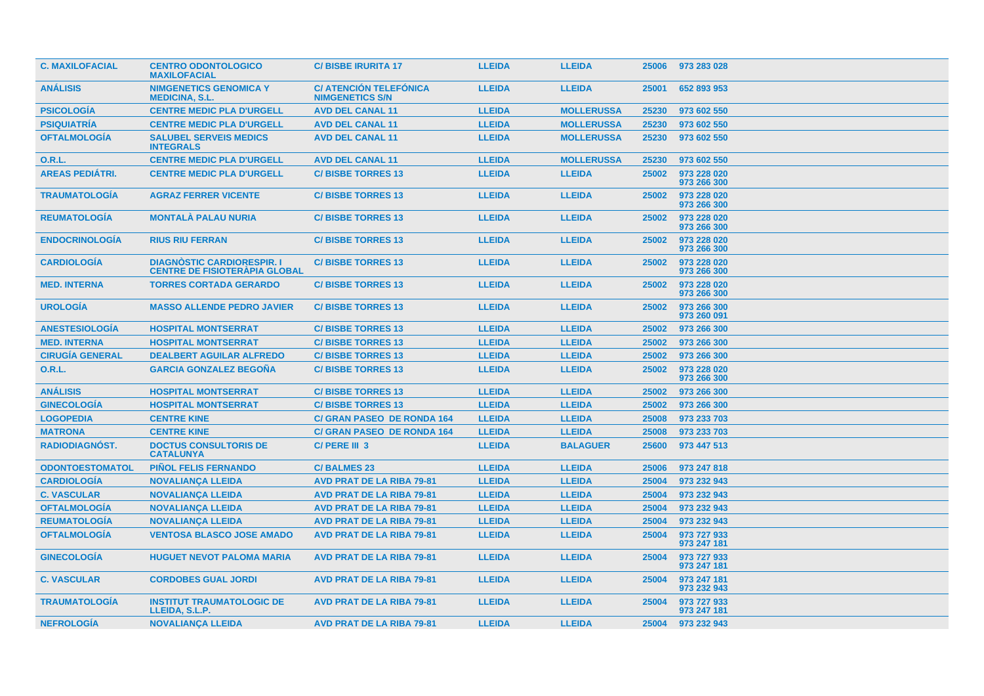| <b>C. MAXILOFACIAL</b> | <b>CENTRO ODONTOLOGICO</b><br><b>MAXILOFACIAL</b>                         | <b>C/BISBE IRURITA 17</b>                               | <b>LLEIDA</b> | <b>LLEIDA</b>     | 25006 | 973 283 028                |
|------------------------|---------------------------------------------------------------------------|---------------------------------------------------------|---------------|-------------------|-------|----------------------------|
| <b>ANÁLISIS</b>        | <b>NIMGENETICS GENOMICA Y</b><br><b>MEDICINA, S.L.</b>                    | <b>C/ ATENCIÓN TELEFÓNICA</b><br><b>NIMGENETICS S/N</b> | <b>LLEIDA</b> | <b>LLEIDA</b>     | 25001 | 652 893 953                |
| <b>PSICOLOGIA</b>      | <b>CENTRE MEDIC PLA D'URGELL</b>                                          | <b>AVD DEL CANAL 11</b>                                 | <b>LLEIDA</b> | <b>MOLLERUSSA</b> | 25230 | 973 602 550                |
| <b>PSIQUIATRÍA</b>     | <b>CENTRE MEDIC PLA D'URGELL</b>                                          | <b>AVD DEL CANAL 11</b>                                 | <b>LLEIDA</b> | <b>MOLLERUSSA</b> | 25230 | 973 602 550                |
| <b>OFTALMOLOGÍA</b>    | <b>SALUBEL SERVEIS MEDICS</b><br><b>INTEGRALS</b>                         | <b>AVD DEL CANAL 11</b>                                 | <b>LLEIDA</b> | <b>MOLLERUSSA</b> | 25230 | 973 602 550                |
| <b>O.R.L.</b>          | <b>CENTRE MEDIC PLA D'URGELL</b>                                          | <b>AVD DEL CANAL 11</b>                                 | <b>LLEIDA</b> | <b>MOLLERUSSA</b> | 25230 | 973 602 550                |
| <b>AREAS PEDIÁTRI.</b> | <b>CENTRE MEDIC PLA D'URGELL</b>                                          | <b>C/BISBE TORRES 13</b>                                | <b>LLEIDA</b> | <b>LLEIDA</b>     | 25002 | 973 228 020<br>973 266 300 |
| <b>TRAUMATOLOGIA</b>   | <b>AGRAZ FERRER VICENTE</b>                                               | <b>C/BISBE TORRES 13</b>                                | <b>LLEIDA</b> | <b>LLEIDA</b>     | 25002 | 973 228 020<br>973 266 300 |
| <b>REUMATOLOGIA</b>    | <b>MONTALA PALAU NURIA</b>                                                | <b>C/BISBE TORRES 13</b>                                | <b>LLEIDA</b> | <b>LLEIDA</b>     | 25002 | 973 228 020<br>973 266 300 |
| <b>ENDOCRINOLOGÍA</b>  | <b>RIUS RIU FERRAN</b>                                                    | <b>C/BISBE TORRES 13</b>                                | <b>LLEIDA</b> | <b>LLEIDA</b>     | 25002 | 973 228 020<br>973 266 300 |
| <b>CARDIOLOGIA</b>     | <b>DIAGNOSTIC CARDIORESPIR. I</b><br><b>CENTRE DE FISIOTERAPIA GLOBAL</b> | <b>C/BISBE TORRES 13</b>                                | <b>LLEIDA</b> | <b>LLEIDA</b>     | 25002 | 973 228 020<br>973 266 300 |
| <b>MED. INTERNA</b>    | <b>TORRES CORTADA GERARDO</b>                                             | <b>C/BISBE TORRES 13</b>                                | <b>LLEIDA</b> | <b>LLEIDA</b>     | 25002 | 973 228 020<br>973 266 300 |
| <b>UROLOGIA</b>        | <b>MASSO ALLENDE PEDRO JAVIER</b>                                         | <b>C/BISBE TORRES 13</b>                                | <b>LLEIDA</b> | <b>LLEIDA</b>     | 25002 | 973 266 300<br>973 260 091 |
| <b>ANESTESIOLOGIA</b>  | <b>HOSPITAL MONTSERRAT</b>                                                | <b>C/BISBE TORRES 13</b>                                | <b>LLEIDA</b> | <b>LLEIDA</b>     | 25002 | 973 266 300                |
| <b>MED. INTERNA</b>    | <b>HOSPITAL MONTSERRAT</b>                                                | <b>C/BISBE TORRES 13</b>                                | <b>LLEIDA</b> | <b>LLEIDA</b>     | 25002 | 973 266 300                |
| <b>CIRUGÍA GENERAL</b> | <b>DEALBERT AGUILAR ALFREDO</b>                                           | <b>C/BISBE TORRES 13</b>                                | <b>LLEIDA</b> | <b>LLEIDA</b>     | 25002 | 973 266 300                |
| 0.R.L.                 | <b>GARCIA GONZALEZ BEGOÑA</b>                                             | <b>C/BISBE TORRES 13</b>                                | <b>LLEIDA</b> | <b>LLEIDA</b>     | 25002 | 973 228 020<br>973 266 300 |
| <b>ANÁLISIS</b>        | <b>HOSPITAL MONTSERRAT</b>                                                | <b>C/BISBE TORRES 13</b>                                | <b>LLEIDA</b> | <b>LLEIDA</b>     | 25002 | 973 266 300                |
| <b>GINECOLOGÍA</b>     | <b>HOSPITAL MONTSERRAT</b>                                                | <b>C/BISBE TORRES 13</b>                                | <b>LLEIDA</b> | <b>LLEIDA</b>     | 25002 | 973 266 300                |
| <b>LOGOPEDIA</b>       | <b>CENTRE KINE</b>                                                        | <b>C/ GRAN PASEO DE RONDA 164</b>                       | <b>LLEIDA</b> | <b>LLEIDA</b>     | 25008 | 973 233 703                |
| <b>MATRONA</b>         | <b>CENTRE KINE</b>                                                        | <b>C/ GRAN PASEO DE RONDA 164</b>                       | <b>LLEIDA</b> | <b>LLEIDA</b>     | 25008 | 973 233 703                |
| <b>RADIODIAGNÓST.</b>  | <b>DOCTUS CONSULTORIS DE</b><br><b>CATALUNYA</b>                          | C/PERE III 3                                            | <b>LLEIDA</b> | <b>BALAGUER</b>   | 25600 | 973 447 513                |
| <b>ODONTOESTOMATOL</b> | <b>PIÑOL FELIS FERNANDO</b>                                               | <b>C/BALMES 23</b>                                      | <b>LLEIDA</b> | <b>LLEIDA</b>     | 25006 | 973 247 818                |
| <b>CARDIOLOGÍA</b>     | <b>NOVALIANÇA LLEIDA</b>                                                  | <b>AVD PRAT DE LA RIBA 79-81</b>                        | <b>LLEIDA</b> | <b>LLEIDA</b>     | 25004 | 973 232 943                |
| <b>C. VASCULAR</b>     | <b>NOVALIANÇA LLEIDA</b>                                                  | <b>AVD PRAT DE LA RIBA 79-81</b>                        | <b>LLEIDA</b> | <b>LLEIDA</b>     | 25004 | 973 232 943                |
| <b>OFTALMOLOGÍA</b>    | <b>NOVALIANCA LLEIDA</b>                                                  | <b>AVD PRAT DE LA RIBA 79-81</b>                        | <b>LLEIDA</b> | <b>LLEIDA</b>     | 25004 | 973 232 943                |
| <b>REUMATOLOGIA</b>    | <b>NOVALIANCA LLEIDA</b>                                                  | <b>AVD PRAT DE LA RIBA 79-81</b>                        | <b>LLEIDA</b> | <b>LLEIDA</b>     | 25004 | 973 232 943                |
| <b>OFTALMOLOGÍA</b>    | <b>VENTOSA BLASCO JOSE AMADO</b>                                          | <b>AVD PRAT DE LA RIBA 79-81</b>                        | <b>LLEIDA</b> | <b>LLEIDA</b>     | 25004 | 973 727 933<br>973 247 181 |
| <b>GINECOLOGIA</b>     | <b>HUGUET NEVOT PALOMA MARIA</b>                                          | <b>AVD PRAT DE LA RIBA 79-81</b>                        | <b>LLEIDA</b> | <b>LLEIDA</b>     | 25004 | 973 727 933<br>973 247 181 |
| <b>C. VASCULAR</b>     | <b>CORDOBES GUAL JORDI</b>                                                | <b>AVD PRAT DE LA RIBA 79-81</b>                        | <b>LLEIDA</b> | <b>LLEIDA</b>     | 25004 | 973 247 181<br>973 232 943 |
| <b>TRAUMATOLOGIA</b>   | <b>INSTITUT TRAUMATOLOGIC DE</b><br>LLEIDA, S.L.P.                        | <b>AVD PRAT DE LA RIBA 79-81</b>                        | <b>LLEIDA</b> | <b>LLEIDA</b>     | 25004 | 973 727 933<br>973 247 181 |
| <b>NEFROLOGIA</b>      | <b>NOVALIANCA LLEIDA</b>                                                  | <b>AVD PRAT DE LA RIBA 79-81</b>                        | <b>LLEIDA</b> | <b>LLEIDA</b>     | 25004 | 973 232 943                |
|                        |                                                                           |                                                         |               |                   |       |                            |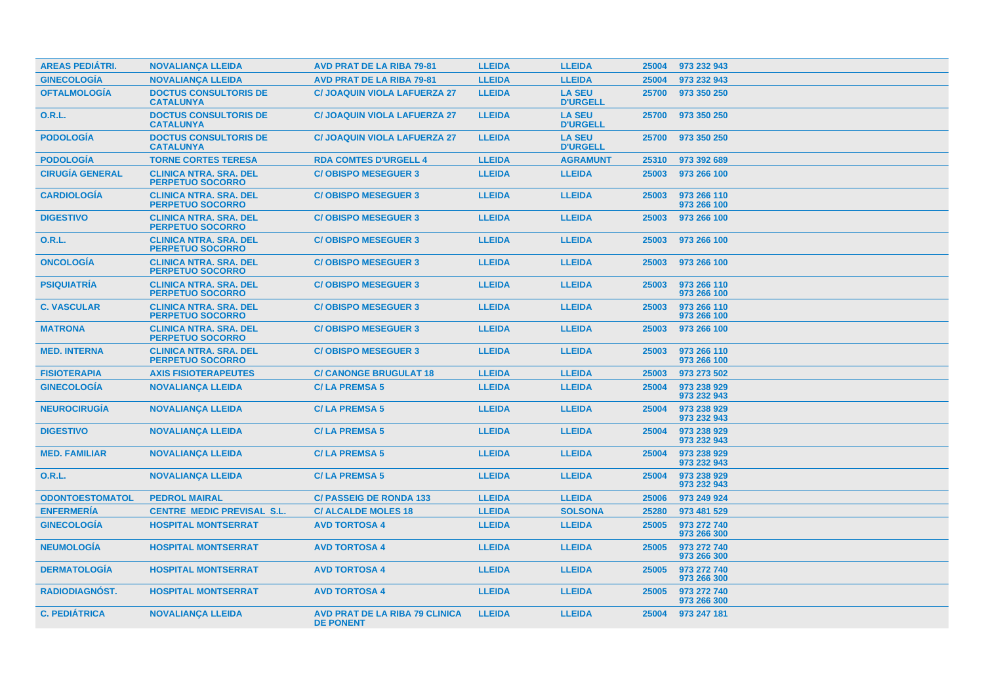| <b>AREAS PEDIÁTRI.</b> | <b>NOVALIANCA LLEIDA</b>                                 | <b>AVD PRAT DE LA RIBA 79-81</b>                          | <b>LLEIDA</b> | <b>LLEIDA</b>                    | 25004 | 973 232 943                |
|------------------------|----------------------------------------------------------|-----------------------------------------------------------|---------------|----------------------------------|-------|----------------------------|
| <b>GINECOLOGÍA</b>     | <b>NOVALIANCA LLEIDA</b>                                 | <b>AVD PRAT DE LA RIBA 79-81</b>                          | <b>LLEIDA</b> | <b>LLEIDA</b>                    | 25004 | 973 232 943                |
| <b>OFTALMOLOGÍA</b>    | <b>DOCTUS CONSULTORIS DE</b><br><b>CATALUNYA</b>         | <b>C/ JOAQUIN VIOLA LAFUERZA 27</b>                       | <b>LLEIDA</b> | <b>LA SEU</b><br><b>D'URGELL</b> | 25700 | 973 350 250                |
| <b>O.R.L.</b>          | <b>DOCTUS CONSULTORIS DE</b><br><b>CATALUNYA</b>         | <b>C/ JOAQUIN VIOLA LAFUERZA 27</b>                       | <b>LLEIDA</b> | <b>LA SEU</b><br><b>D'URGELL</b> | 25700 | 973 350 250                |
| <b>PODOLOGÍA</b>       | <b>DOCTUS CONSULTORIS DE</b><br><b>CATALUNYA</b>         | <b>C/ JOAQUIN VIOLA LAFUERZA 27</b>                       | <b>LLEIDA</b> | <b>LA SEU</b><br><b>D'URGELL</b> | 25700 | 973 350 250                |
| <b>PODOLOGÍA</b>       | <b>TORNE CORTES TERESA</b>                               | <b>RDA COMTES D'URGELL 4</b>                              | <b>LLEIDA</b> | <b>AGRAMUNT</b>                  | 25310 | 973 392 689                |
| <b>CIRUGÍA GENERAL</b> | <b>CLINICA NTRA. SRA. DEL</b><br><b>PERPETUO SOCORRO</b> | <b>C/OBISPO MESEGUER 3</b>                                | <b>LLEIDA</b> | <b>LLEIDA</b>                    | 25003 | 973 266 100                |
| <b>CARDIOLOGIA</b>     | <b>CLINICA NTRA. SRA. DEL</b><br><b>PERPETUO SOCORRO</b> | <b>C/OBISPO MESEGUER 3</b>                                | <b>LLEIDA</b> | <b>LLEIDA</b>                    | 25003 | 973 266 110<br>973 266 100 |
| <b>DIGESTIVO</b>       | <b>CLINICA NTRA. SRA. DEL</b><br><b>PERPETUO SOCORRO</b> | <b>C/OBISPO MESEGUER 3</b>                                | <b>LLEIDA</b> | <b>LLEIDA</b>                    | 25003 | 973 266 100                |
| <b>O.R.L.</b>          | <b>CLINICA NTRA, SRA, DEL</b><br><b>PERPETUO SOCORRO</b> | <b>C/OBISPO MESEGUER 3</b>                                | <b>LLEIDA</b> | <b>LLEIDA</b>                    | 25003 | 973 266 100                |
| <b>ONCOLOGÍA</b>       | <b>CLINICA NTRA. SRA. DEL</b><br><b>PERPETUO SOCORRO</b> | <b>C/OBISPO MESEGUER 3</b>                                | <b>LLEIDA</b> | <b>LLEIDA</b>                    | 25003 | 973 266 100                |
| <b>PSIQUIATRÍA</b>     | <b>CLINICA NTRA. SRA. DEL</b><br><b>PERPETUO SOCORRO</b> | <b>C/OBISPO MESEGUER 3</b>                                | <b>LLEIDA</b> | <b>LLEIDA</b>                    | 25003 | 973 266 110<br>973 266 100 |
| <b>C. VASCULAR</b>     | <b>CLINICA NTRA. SRA. DEL</b><br><b>PERPETUO SOCORRO</b> | <b>C/OBISPO MESEGUER 3</b>                                | <b>LLEIDA</b> | <b>LLEIDA</b>                    | 25003 | 973 266 110<br>973 266 100 |
| <b>MATRONA</b>         | <b>CLINICA NTRA. SRA. DEL</b><br><b>PERPETUO SOCORRO</b> | <b>C/OBISPO MESEGUER 3</b>                                | <b>LLEIDA</b> | <b>LLEIDA</b>                    | 25003 | 973 266 100                |
| <b>MED. INTERNA</b>    | <b>CLINICA NTRA. SRA. DEL</b><br><b>PERPETUO SOCORRO</b> | <b>C/OBISPO MESEGUER 3</b>                                | <b>LLEIDA</b> | <b>LLEIDA</b>                    | 25003 | 973 266 110<br>973 266 100 |
| <b>FISIOTERAPIA</b>    | <b>AXIS FISIOTERAPEUTES</b>                              | <b>C/ CANONGE BRUGULAT 18</b>                             | <b>LLEIDA</b> | <b>LLEIDA</b>                    | 25003 | 973 273 502                |
| <b>GINECOLOGIA</b>     | <b>NOVALIANÇA LLEIDA</b>                                 | <b>C/LA PREMSA 5</b>                                      | <b>LLEIDA</b> | <b>LLEIDA</b>                    | 25004 | 973 238 929<br>973 232 943 |
| <b>NEUROCIRUGIA</b>    | <b>NOVALIANÇA LLEIDA</b>                                 | <b>C/LA PREMSA 5</b>                                      | <b>LLEIDA</b> | <b>LLEIDA</b>                    | 25004 | 973 238 929<br>973 232 943 |
| <b>DIGESTIVO</b>       | <b>NOVALIANÇA LLEIDA</b>                                 | <b>C/LA PREMSA 5</b>                                      | <b>LLEIDA</b> | <b>LLEIDA</b>                    | 25004 | 973 238 929<br>973 232 943 |
| <b>MED. FAMILIAR</b>   | <b>NOVALIANÇA LLEIDA</b>                                 | <b>C/LA PREMSA 5</b>                                      | <b>LLEIDA</b> | <b>LLEIDA</b>                    | 25004 | 973 238 929<br>973 232 943 |
| <b>O.R.L.</b>          | <b>NOVALIANÇA LLEIDA</b>                                 | <b>C/LA PREMSA 5</b>                                      | <b>LLEIDA</b> | <b>LLEIDA</b>                    | 25004 | 973 238 929<br>973 232 943 |
| <b>ODONTOESTOMATOL</b> | <b>PEDROL MAIRAL</b>                                     | <b>C/ PASSEIG DE RONDA 133</b>                            | <b>LLEIDA</b> | <b>LLEIDA</b>                    | 25006 | 973 249 924                |
| <b>ENFERMERÍA</b>      | <b>CENTRE MEDIC PREVISAL S.L.</b>                        | <b>C/ALCALDE MOLES 18</b>                                 | <b>LLEIDA</b> | <b>SOLSONA</b>                   | 25280 | 973 481 529                |
| <b>GINECOLOGÍA</b>     | <b>HOSPITAL MONTSERRAT</b>                               | <b>AVD TORTOSA 4</b>                                      | <b>LLEIDA</b> | <b>LLEIDA</b>                    | 25005 | 973 272 740<br>973 266 300 |
| <b>NEUMOLOGÍA</b>      | <b>HOSPITAL MONTSERRAT</b>                               | <b>AVD TORTOSA 4</b>                                      | <b>LLEIDA</b> | <b>LLEIDA</b>                    | 25005 | 973 272 740<br>973 266 300 |
| <b>DERMATOLOGIA</b>    | <b>HOSPITAL MONTSERRAT</b>                               | <b>AVD TORTOSA 4</b>                                      | <b>LLEIDA</b> | <b>LLEIDA</b>                    | 25005 | 973 272 740<br>973 266 300 |
| RADIODIAGNÓST.         | <b>HOSPITAL MONTSERRAT</b>                               | <b>AVD TORTOSA 4</b>                                      | <b>LLEIDA</b> | <b>LLEIDA</b>                    | 25005 | 973 272 740<br>973 266 300 |
| <b>C. PEDIÁTRICA</b>   | <b>NOVALIANÇA LLEIDA</b>                                 | <b>AVD PRAT DE LA RIBA 79 CLINICA</b><br><b>DE PONENT</b> | <b>LLEIDA</b> | <b>LLEIDA</b>                    | 25004 | 973 247 181                |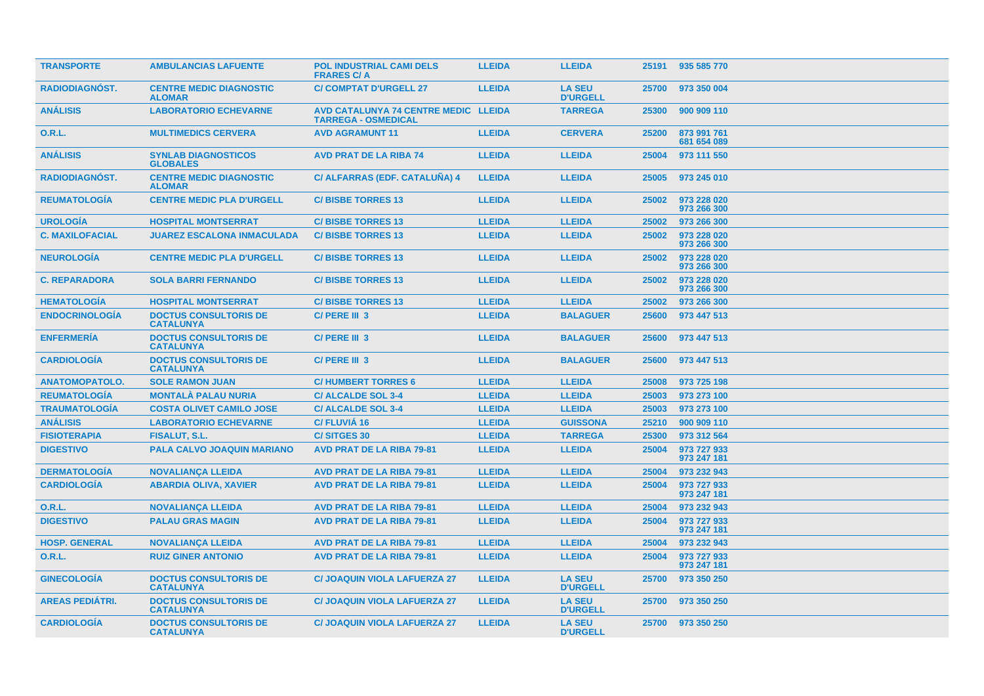| <b>TRANSPORTE</b>      | <b>AMBULANCIAS LAFUENTE</b>                      | <b>POL INDUSTRIAL CAMI DELS</b><br><b>FRARES C/A</b>               | <b>LLEIDA</b> | <b>LLEIDA</b>                    |       | 25191 935 585 770          |
|------------------------|--------------------------------------------------|--------------------------------------------------------------------|---------------|----------------------------------|-------|----------------------------|
| <b>RADIODIAGNOST.</b>  | <b>CENTRE MEDIC DIAGNOSTIC</b><br><b>ALOMAR</b>  | <b>C/ COMPTAT D'URGELL 27</b>                                      | <b>LLEIDA</b> | <b>LA SEU</b><br><b>D'URGELL</b> | 25700 | 973 350 004                |
| <b>ANÁLISIS</b>        | <b>LABORATORIO ECHEVARNE</b>                     | AVD CATALUNYA 74 CENTRE MEDIC LLEIDA<br><b>TARREGA - OSMEDICAL</b> |               | <b>TARREGA</b>                   | 25300 | 900 909 110                |
| <b>O.R.L.</b>          | <b>MULTIMEDICS CERVERA</b>                       | <b>AVD AGRAMUNT 11</b>                                             | <b>LLEIDA</b> | <b>CERVERA</b>                   | 25200 | 873 991 761<br>681 654 089 |
| <b>ANÁLISIS</b>        | <b>SYNLAB DIAGNOSTICOS</b><br><b>GLOBALES</b>    | <b>AVD PRAT DE LA RIBA 74</b>                                      | <b>LLEIDA</b> | <b>LLEIDA</b>                    | 25004 | 973 111 550                |
| <b>RADIODIAGNÓST.</b>  | <b>CENTRE MEDIC DIAGNOSTIC</b><br><b>ALOMAR</b>  | C/ ALFARRAS (EDF. CATALUNA) 4                                      | <b>LLEIDA</b> | <b>LLEIDA</b>                    | 25005 | 973 245 010                |
| <b>REUMATOLOGIA</b>    | <b>CENTRE MEDIC PLA D'URGELL</b>                 | <b>C/BISBE TORRES 13</b>                                           | <b>LLEIDA</b> | <b>LLEIDA</b>                    | 25002 | 973 228 020<br>973 266 300 |
| <b>UROLOGÍA</b>        | <b>HOSPITAL MONTSERRAT</b>                       | <b>C/BISBE TORRES 13</b>                                           | <b>LLEIDA</b> | <b>LLEIDA</b>                    | 25002 | 973 266 300                |
| <b>C. MAXILOFACIAL</b> | <b>JUAREZ ESCALONA INMACULADA</b>                | <b>C/BISBE TORRES 13</b>                                           | <b>LLEIDA</b> | <b>LLEIDA</b>                    | 25002 | 973 228 020<br>973 266 300 |
| <b>NEUROLOGÍA</b>      | <b>CENTRE MEDIC PLA D'URGELL</b>                 | <b>C/BISBE TORRES 13</b>                                           | <b>LLEIDA</b> | <b>LLEIDA</b>                    | 25002 | 973 228 020<br>973 266 300 |
| <b>C. REPARADORA</b>   | <b>SOLA BARRI FERNANDO</b>                       | <b>C/BISBE TORRES 13</b>                                           | <b>LLEIDA</b> | <b>LLEIDA</b>                    | 25002 | 973 228 020<br>973 266 300 |
| <b>HEMATOLOGIA</b>     | <b>HOSPITAL MONTSERRAT</b>                       | <b>C/BISBE TORRES 13</b>                                           | <b>LLEIDA</b> | <b>LLEIDA</b>                    | 25002 | 973 266 300                |
| <b>ENDOCRINOLOGÍA</b>  | <b>DOCTUS CONSULTORIS DE</b><br><b>CATALUNYA</b> | C/PERE III 3                                                       | <b>LLEIDA</b> | <b>BALAGUER</b>                  | 25600 | 973 447 513                |
| <b>ENFERMERÍA</b>      | <b>DOCTUS CONSULTORIS DE</b><br><b>CATALUNYA</b> | C/ PERE III 3                                                      | <b>LLEIDA</b> | <b>BALAGUER</b>                  | 25600 | 973 447 513                |
| <b>CARDIOLOGIA</b>     | <b>DOCTUS CONSULTORIS DE</b><br><b>CATALUNYA</b> | C/ PERE III 3                                                      | <b>LLEIDA</b> | <b>BALAGUER</b>                  | 25600 | 973 447 513                |
| <b>ANATOMOPATOLO.</b>  | <b>SOLE RAMON JUAN</b>                           | <b>C/HUMBERT TORRES 6</b>                                          | <b>LLEIDA</b> | <b>LLEIDA</b>                    | 25008 | 973 725 198                |
| <b>REUMATOLOGIA</b>    | <b>MONTALA PALAU NURIA</b>                       | <b>C/ALCALDE SOL 3-4</b>                                           | <b>LLEIDA</b> | <b>LLEIDA</b>                    | 25003 | 973 273 100                |
| <b>TRAUMATOLOGÍA</b>   | <b>COSTA OLIVET CAMILO JOSE</b>                  | <b>C/ALCALDE SOL 3-4</b>                                           | <b>LLEIDA</b> | <b>LLEIDA</b>                    | 25003 | 973 273 100                |
| <b>ANÁLISIS</b>        | <b>LABORATORIO ECHEVARNE</b>                     | <b>C/FLUVIA 16</b>                                                 | <b>LLEIDA</b> | <b>GUISSONA</b>                  | 25210 | 900 909 110                |
| <b>FISIOTERAPIA</b>    | FISALUT, S.L.                                    | <b>C/SITGES 30</b>                                                 | <b>LLEIDA</b> | <b>TARREGA</b>                   | 25300 | 973 312 564                |
| <b>DIGESTIVO</b>       | PALA CALVO JOAQUIN MARIANO                       | <b>AVD PRAT DE LA RIBA 79-81</b>                                   | <b>LLEIDA</b> | <b>LLEIDA</b>                    | 25004 | 973 727 933<br>973 247 181 |
| <b>DERMATOLOGÍA</b>    | <b>NOVALIANÇA LLEIDA</b>                         | <b>AVD PRAT DE LA RIBA 79-81</b>                                   | <b>LLEIDA</b> | <b>LLEIDA</b>                    | 25004 | 973 232 943                |
| <b>CARDIOLOGÍA</b>     | <b>ABARDIA OLIVA, XAVIER</b>                     | <b>AVD PRAT DE LA RIBA 79-81</b>                                   | <b>LLEIDA</b> | <b>LLEIDA</b>                    | 25004 | 973 727 933<br>973 247 181 |
| <b>O.R.L.</b>          | <b>NOVALIANCA LLEIDA</b>                         | <b>AVD PRAT DE LA RIBA 79-81</b>                                   | <b>LLEIDA</b> | <b>LLEIDA</b>                    | 25004 | 973 232 943                |
| <b>DIGESTIVO</b>       | <b>PALAU GRAS MAGIN</b>                          | <b>AVD PRAT DE LA RIBA 79-81</b>                                   | <b>LLEIDA</b> | <b>LLEIDA</b>                    | 25004 | 973 727 933<br>973 247 181 |
| <b>HOSP. GENERAL</b>   | <b>NOVALIANÇA LLEIDA</b>                         | <b>AVD PRAT DE LA RIBA 79-81</b>                                   | <b>LLEIDA</b> | <b>LLEIDA</b>                    | 25004 | 973 232 943                |
| <b>O.R.L.</b>          | <b>RUIZ GINER ANTONIO</b>                        | <b>AVD PRAT DE LA RIBA 79-81</b>                                   | <b>LLEIDA</b> | <b>LLEIDA</b>                    | 25004 | 973 727 933<br>973 247 181 |
| <b>GINECOLOGÍA</b>     | <b>DOCTUS CONSULTORIS DE</b><br><b>CATALUNYA</b> | <b>C/ JOAQUIN VIOLA LAFUERZA 27</b>                                | <b>LLEIDA</b> | <b>LA SEU</b><br><b>D'URGELL</b> | 25700 | 973 350 250                |
| <b>AREAS PEDIATRI.</b> | <b>DOCTUS CONSULTORIS DE</b><br><b>CATALUNYA</b> | <b>C/ JOAQUIN VIOLA LAFUERZA 27</b>                                | <b>LLEIDA</b> | <b>LA SEU</b><br><b>D'URGELL</b> | 25700 | 973 350 250                |
| <b>CARDIOLOGIA</b>     | <b>DOCTUS CONSULTORIS DE</b><br><b>CATALUNYA</b> | <b>C/ JOAQUIN VIOLA LAFUERZA 27</b>                                | <b>LLEIDA</b> | <b>LA SEU</b><br><b>D'URGELL</b> |       | 25700 973 350 250          |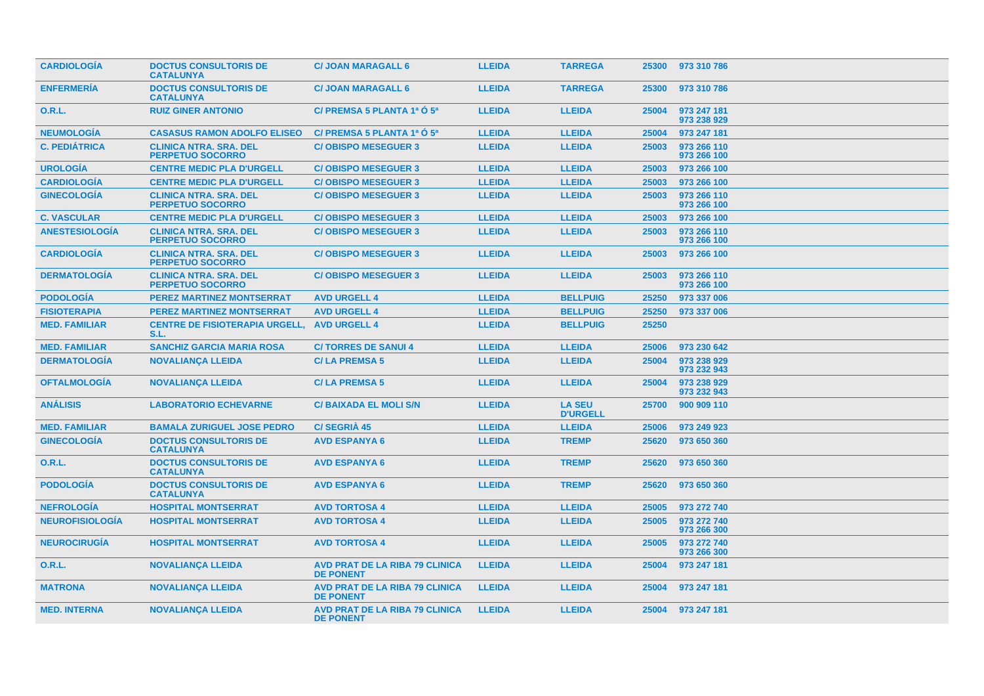| <b>CARDIOLOGIA</b>     | <b>DOCTUS CONSULTORIS DE</b><br><b>CATALUNYA</b>         | <b>C/ JOAN MARAGALL 6</b>                                 | <b>LLEIDA</b> | <b>TARREGA</b>                   | 25300 | 973 310 786                |
|------------------------|----------------------------------------------------------|-----------------------------------------------------------|---------------|----------------------------------|-------|----------------------------|
| <b>ENFERMERIA</b>      | <b>DOCTUS CONSULTORIS DE</b><br><b>CATALUNYA</b>         | <b>C/ JOAN MARAGALL 6</b>                                 | <b>LLEIDA</b> | <b>TARREGA</b>                   | 25300 | 973 310 786                |
| <b>O.R.L.</b>          | <b>RUIZ GINER ANTONIO</b>                                | C/ PREMSA 5 PLANTA 1ª O 5ª                                | <b>LLEIDA</b> | <b>LLEIDA</b>                    | 25004 | 973 247 181<br>973 238 929 |
| <b>NEUMOLOGÍA</b>      | <b>CASASUS RAMON ADOLFO ELISEO</b>                       | C/ PREMSA 5 PLANTA 1ª O 5ª                                | <b>LLEIDA</b> | <b>LLEIDA</b>                    | 25004 | 973 247 181                |
| <b>C. PEDIÁTRICA</b>   | <b>CLINICA NTRA. SRA. DEL</b><br><b>PERPETUO SOCORRO</b> | <b>C/OBISPO MESEGUER 3</b>                                | <b>LLEIDA</b> | <b>LLEIDA</b>                    | 25003 | 973 266 110<br>973 266 100 |
| <b>UROLOGÍA</b>        | <b>CENTRE MEDIC PLA D'URGELL</b>                         | <b>C/OBISPO MESEGUER 3</b>                                | <b>LLEIDA</b> | <b>LLEIDA</b>                    | 25003 | 973 266 100                |
| <b>CARDIOLOGÍA</b>     | <b>CENTRE MEDIC PLA D'URGELL</b>                         | <b>C/OBISPO MESEGUER 3</b>                                | <b>LLEIDA</b> | <b>LLEIDA</b>                    | 25003 | 973 266 100                |
| <b>GINECOLOGÍA</b>     | <b>CLINICA NTRA. SRA. DEL</b><br><b>PERPETUO SOCORRO</b> | <b>C/OBISPO MESEGUER 3</b>                                | <b>LLEIDA</b> | <b>LLEIDA</b>                    | 25003 | 973 266 110<br>973 266 100 |
| <b>C. VASCULAR</b>     | <b>CENTRE MEDIC PLA D'URGELL</b>                         | <b>C/OBISPO MESEGUER 3</b>                                | <b>LLEIDA</b> | <b>LLEIDA</b>                    | 25003 | 973 266 100                |
| <b>ANESTESIOLOGÍA</b>  | <b>CLINICA NTRA. SRA. DEL</b><br><b>PERPETUO SOCORRO</b> | <b>C/OBISPO MESEGUER 3</b>                                | <b>LLEIDA</b> | <b>LLEIDA</b>                    | 25003 | 973 266 110<br>973 266 100 |
| <b>CARDIOLOGÍA</b>     | <b>CLINICA NTRA. SRA. DEL</b><br><b>PERPETUO SOCORRO</b> | <b>C/OBISPO MESEGUER 3</b>                                | <b>LLEIDA</b> | <b>LLEIDA</b>                    | 25003 | 973 266 100                |
| <b>DERMATOLOGÍA</b>    | <b>CLINICA NTRA. SRA. DEL</b><br><b>PERPETUO SOCORRO</b> | <b>C/OBISPO MESEGUER 3</b>                                | <b>LLEIDA</b> | <b>LLEIDA</b>                    | 25003 | 973 266 110<br>973 266 100 |
| <b>PODOLOGÍA</b>       | <b>PEREZ MARTINEZ MONTSERRAT</b>                         | <b>AVD URGELL 4</b>                                       | <b>LLEIDA</b> | <b>BELLPUIG</b>                  | 25250 | 973 337 006                |
| <b>FISIOTERAPIA</b>    | <b>PEREZ MARTINEZ MONTSERRAT</b>                         | <b>AVD URGELL 4</b>                                       | <b>LLEIDA</b> | <b>BELLPUIG</b>                  | 25250 | 973 337 006                |
| <b>MED. FAMILIAR</b>   | <b>CENTRE DE FISIOTERAPIA URGELL.</b><br>S.L.            | <b>AVD URGELL 4</b>                                       | <b>LLEIDA</b> | <b>BELLPUIG</b>                  | 25250 |                            |
| <b>MED. FAMILIAR</b>   | <b>SANCHIZ GARCIA MARIA ROSA</b>                         | <b>C/TORRES DE SANUI 4</b>                                | <b>LLEIDA</b> | <b>LLEIDA</b>                    | 25006 | 973 230 642                |
| <b>DERMATOLOGÍA</b>    | <b>NOVALIANÇA LLEIDA</b>                                 | <b>C/LA PREMSA 5</b>                                      | <b>LLEIDA</b> | <b>LLEIDA</b>                    | 25004 | 973 238 929<br>973 232 943 |
| <b>OFTALMOLOGÍA</b>    | <b>NOVALIANCA LLEIDA</b>                                 | <b>C/LA PREMSA 5</b>                                      | <b>LLEIDA</b> | <b>LLEIDA</b>                    | 25004 | 973 238 929<br>973 232 943 |
| <b>ANÁLISIS</b>        | <b>LABORATORIO ECHEVARNE</b>                             | <b>C/BAIXADA EL MOLI S/N</b>                              | <b>LLEIDA</b> | <b>LA SEU</b><br><b>D'URGELL</b> | 25700 | 900 909 110                |
| <b>MED. FAMILIAR</b>   | <b>BAMALA ZURIGUEL JOSE PEDRO</b>                        | C/SEGRIA 45                                               | <b>LLEIDA</b> | <b>LLEIDA</b>                    | 25006 | 973 249 923                |
| <b>GINECOLOGÍA</b>     | <b>DOCTUS CONSULTORIS DE</b><br><b>CATALUNYA</b>         | <b>AVD ESPANYA 6</b>                                      | <b>LLEIDA</b> | <b>TREMP</b>                     | 25620 | 973 650 360                |
| O.R.L.                 | <b>DOCTUS CONSULTORIS DE</b><br><b>CATALUNYA</b>         | <b>AVD ESPANYA 6</b>                                      | <b>LLEIDA</b> | <b>TREMP</b>                     | 25620 | 973 650 360                |
| <b>PODOLOGÍA</b>       | <b>DOCTUS CONSULTORIS DE</b><br><b>CATALUNYA</b>         | <b>AVD ESPANYA 6</b>                                      | <b>LLEIDA</b> | <b>TREMP</b>                     | 25620 | 973 650 360                |
| <b>NEFROLOGIA</b>      | <b>HOSPITAL MONTSERRAT</b>                               | <b>AVD TORTOSA 4</b>                                      | <b>LLEIDA</b> | <b>LLEIDA</b>                    | 25005 | 973 272 740                |
| <b>NEUROFISIOLOGÍA</b> | <b>HOSPITAL MONTSERRAT</b>                               | <b>AVD TORTOSA 4</b>                                      | <b>LLEIDA</b> | <b>LLEIDA</b>                    | 25005 | 973 272 740<br>973 266 300 |
| <b>NEUROCIRUGÍA</b>    | <b>HOSPITAL MONTSERRAT</b>                               | <b>AVD TORTOSA 4</b>                                      | <b>LLEIDA</b> | <b>LLEIDA</b>                    | 25005 | 973 272 740<br>973 266 300 |
| <b>O.R.L.</b>          | <b>NOVALIANÇA LLEIDA</b>                                 | <b>AVD PRAT DE LA RIBA 79 CLINICA</b><br><b>DE PONENT</b> | <b>LLEIDA</b> | <b>LLEIDA</b>                    | 25004 | 973 247 181                |
| <b>MATRONA</b>         | <b>NOVALIANÇA LLEIDA</b>                                 | <b>AVD PRAT DE LA RIBA 79 CLINICA</b><br><b>DE PONENT</b> | <b>LLEIDA</b> | <b>LLEIDA</b>                    | 25004 | 973 247 181                |
| <b>MED. INTERNA</b>    | <b>NOVALIANÇA LLEIDA</b>                                 | <b>AVD PRAT DE LA RIBA 79 CLINICA</b><br><b>DE PONENT</b> | <b>LLEIDA</b> | <b>LLEIDA</b>                    | 25004 | 973 247 181                |